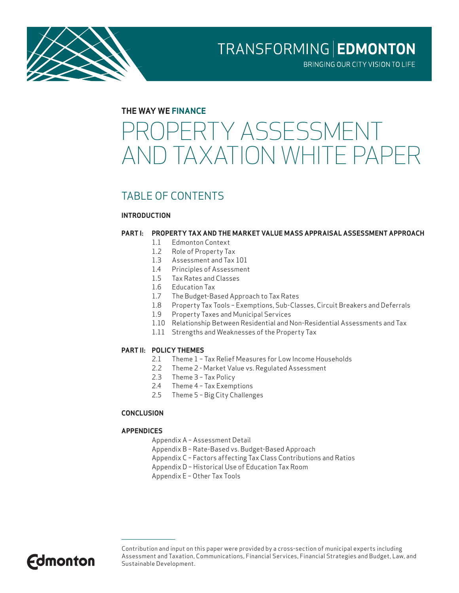

BRINGING OUR CITY VISION TO LIFE

#### **THE WAY WE FINANCE**

# ROPERTY ASSESSMENT AND TAXATION WHITE PAPER

### TABLE OF CONTENTS

#### **INTRODUCTION**

#### **PART I: PROPERTY TAX AND THE MARKET VALUE MASS APPRAISAL ASSESSMENT APPROACH**

- 1.1 Edmonton Context
- 1.2 Role of Property Tax
- 1.3 Assessment and Tax 101
- 1.4 Principles of Assessment
- 1.5 Tax Rates and Classes
- 1.6 Education Tax
- 1.7 The Budget-Based Approach to Tax Rates
- 1.8 Property Tax Tools Exemptions, Sub-Classes, Circuit Breakers and Deferrals
- 1.9 Property Taxes and Municipal Services
- 1.10 Relationship Between Residential and Non-Residential Assessments and Tax
- 1.11 Strengths and Weaknesses of the Property Tax

#### **PART II: POLICY THEMES**

- 2.1 Theme 1 Tax Relief Measures for Low Income Households
- 2.2 Theme 2 Market Value vs. Regulated Assessment
- 2.3 Theme 3 Tax Policy
- 2.4 Theme 4 Tax Exemptions
- 2.5 Theme 5 Big City Challenges

#### **CONCLUSION**

#### **APPENDICES**

- Appendix A Assessment Detail
- Appendix B Rate-Based vs. Budget-Based Approach
- Appendix C Factors affecting Tax Class Contributions and Ratios
- Appendix D Historical Use of Education Tax Room
- Appendix E Other Tax Tools



Contribution and input on this paper were provided by a cross-section of municipal experts including Assessment and Taxation, Communications, Financial Services, Financial Strategies and Budget, Law, and Sustainable Development.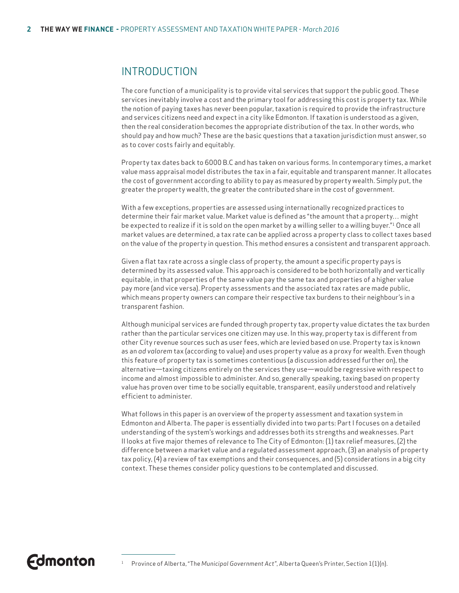### INTRODUCTION

The core function of a municipality is to provide vital services that support the public good. These services inevitably involve a cost and the primary tool for addressing this cost is property tax. While the notion of paying taxes has never been popular, taxation is required to provide the infrastructure and services citizens need and expect in a city like Edmonton. If taxation is understood as a given, then the real consideration becomes the appropriate distribution of the tax. In other words, who should pay and how much? These are the basic questions that a taxation jurisdiction must answer, so as to cover costs fairly and equitably.

Property tax dates back to 6000 B.C and has taken on various forms. In contemporary times, a market value mass appraisal model distributes the tax in a fair, equitable and transparent manner. It allocates the cost of government according to ability to pay as measured by property wealth. Simply put, the greater the property wealth, the greater the contributed share in the cost of government.

With a few exceptions, properties are assessed using internationally recognized practices to determine their fair market value. Market value is defined as "the amount that a property… might be expected to realize if it is sold on the open market by a willing seller to a willing buyer."<sup>1</sup> Once all market values are determined, a tax rate can be applied across a property class to collect taxes based on the value of the property in question. This method ensures a consistent and transparent approach.

Given a flat tax rate across a single class of property, the amount a specific property pays is determined by its assessed value. This approach is considered to be both horizontally and vertically equitable, in that properties of the same value pay the same tax and properties of a higher value pay more (and vice versa). Property assessments and the associated tax rates are made public, which means property owners can compare their respective tax burdens to their neighbour's in a transparent fashion.

Although municipal services are funded through property tax, property value dictates the tax burden rather than the particular services one citizen may use. In this way, property tax is different from other City revenue sources such as user fees, which are levied based on use. Property tax is known as an *ad valorem* tax (according to value) and uses property value as a proxy for wealth. Even though this feature of property tax is sometimes contentious (a discussion addressed further on), the alternative—taxing citizens entirely on the services they use—would be regressive with respect to income and almost impossible to administer. And so, generally speaking, taxing based on property value has proven over time to be socially equitable, transparent, easily understood and relatively efficient to administer.

What follows in this paper is an overview of the property assessment and taxation system in Edmonton and Alberta. The paper is essentially divided into two parts: Part I focuses on a detailed understanding of the system's workings and addresses both its strengths and weaknesses. Part II looks at five major themes of relevance to The City of Edmonton: (1) tax relief measures, (2) the difference between a market value and a regulated assessment approach, (3) an analysis of property tax policy, (4) a review of tax exemptions and their consequences, and (5) considerations in a big city context. These themes consider policy questions to be contemplated and discussed.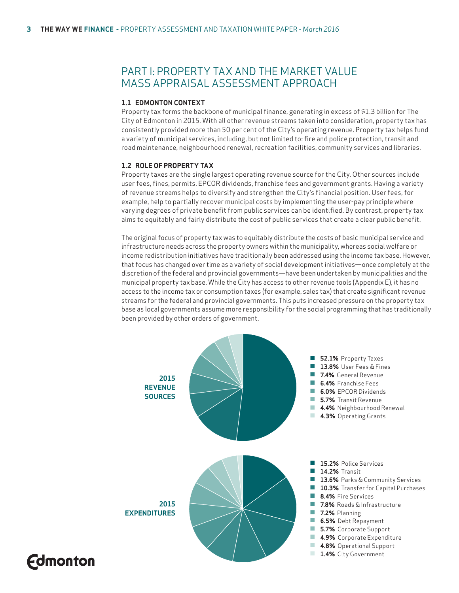### PART I: PROPERTY TAX AND THE MARKET VALUE MASS APPRAISAL ASSESSMENT APPROACH

#### **1.1 EDMONTON CONTEXT**

Property tax forms the backbone of municipal finance, generating in excess of \$1.3 billion for The City of Edmonton in 2015. With all other revenue streams taken into consideration, property tax has consistently provided more than 50 per cent of the City's operating revenue. Property tax helps fund a variety of municipal services, including, but not limited to: fire and police protection, transit and road maintenance, neighbourhood renewal, recreation facilities, community services and libraries.

#### **1.2 ROLE OF PROPERTY TAX**

**Edmonton** 

Property taxes are the single largest operating revenue source for the City. Other sources include user fees, fines, permits, EPCOR dividends, franchise fees and government grants. Having a variety of revenue streams helps to diversify and strengthen the City's financial position. User fees, for example, help to partially recover municipal costs by implementing the user-pay principle where varying degrees of private benefit from public services can be identified. By contrast, property tax aims to equitably and fairly distribute the cost of public services that create a clear public benefit.

The original focus of property tax was to equitably distribute the costs of basic municipal service and infrastructure needs across the property owners within the municipality, whereas social welfare or income redistribution initiatives have traditionally been addressed using the income tax base. However, that focus has changed over time as a variety of social development initiatives—once completely at the discretion of the federal and provincial governments—have been undertaken by municipalities and the municipal property tax base. While the City has access to other revenue tools (Appendix E), it has no access to the income tax or consumption taxes (for example, sales tax) that create significant revenue streams for the federal and provincial governments. This puts increased pressure on the property tax base as local governments assume more responsibility for the social programming that has traditionally been provided by other orders of government.

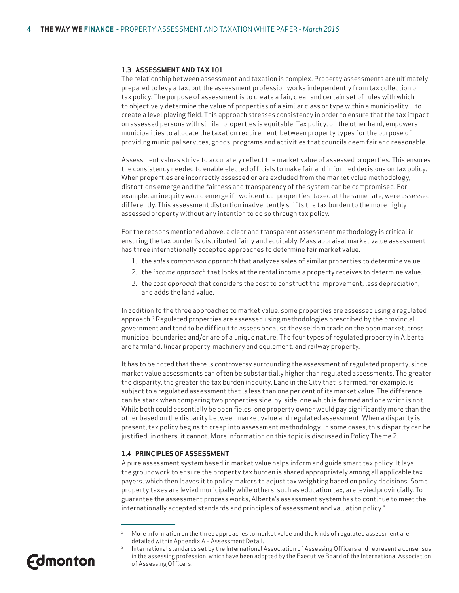#### **1.3 ASSESSMENT AND TAX 101**

The relationship between assessment and taxation is complex. Property assessments are ultimately prepared to levy a tax, but the assessment profession works independently from tax collection or tax policy. The purpose of assessment is to create a fair, clear and certain set of rules with which to objectively determine the value of properties of a similar class or type within a municipality—to create a level playing field. This approach stresses consistency in order to ensure that the tax impact on assessed persons with similar properties is equitable. Tax policy, on the other hand, empowers municipalities to allocate the taxation requirement between property types for the purpose of providing municipal services, goods, programs and activities that councils deem fair and reasonable.

Assessment values strive to accurately reflect the market value of assessed properties. This ensures the consistency needed to enable elected officials to make fair and informed decisions on tax policy. When properties are incorrectly assessed or are excluded from the market value methodology, distortions emerge and the fairness and transparency of the system can be compromised. For example, an inequity would emerge if two identical properties, taxed at the same rate, were assessed differently. This assessment distortion inadvertently shifts the tax burden to the more highly assessed property without any intention to do so through tax policy.

For the reasons mentioned above, a clear and transparent assessment methodology is critical in ensuring the tax burden is distributed fairly and equitably. Mass appraisal market value assessment has three internationally accepted approaches to determine fair market value.

- 1. the *sales comparison approach* that analyzes sales of similar properties to determine value.
- 2. the *income approach* that looks at the rental income a property receives to determine value.
- 3. the *cost approach* that considers the cost to construct the improvement, less depreciation, and adds the land value.

In addition to the three approaches to market value, some properties are assessed using a regulated approach.2 Regulated properties are assessed using methodologies prescribed by the provincial government and tend to be difficult to assess because they seldom trade on the open market, cross municipal boundaries and/or are of a unique nature. The four types of regulated property in Alberta are farmland, linear property, machinery and equipment, and railway property.

It has to be noted that there is controversy surrounding the assessment of regulated property, since market value assessments can often be substantially higher than regulated assessments. The greater the disparity, the greater the tax burden inequity. Land in the City that is farmed, for example, is subject to a regulated assessment that is less than one per cent of its market value. The difference can be stark when comparing two properties side-by-side, one which is farmed and one which is not. While both could essentially be open fields, one property owner would pay significantly more than the other based on the disparity between market value and regulated assessment. When a disparity is present, tax policy begins to creep into assessment methodology. In some cases, this disparity can be justified; in others, it cannot. More information on this topic is discussed in Policy Theme 2.

#### **1.4 PRINCIPLES OF ASSESSMENT**

A pure assessment system based in market value helps inform and guide smart tax policy. It lays the groundwork to ensure the property tax burden is shared appropriately among all applicable tax payers, which then leaves it to policy makers to adjust tax weighting based on policy decisions. Some property taxes are levied municipally while others, such as education tax, are levied provincially. To guarantee the assessment process works, Alberta's assessment system has to continue to meet the internationally accepted standards and principles of assessment and valuation policy.3

International standards set by the International Association of Assessing Officers and represent a consensus in the assessing profession, which have been adopted by the Executive Board of the International Association of Assessing Officers.



<sup>2</sup> More information on the three approaches to market value and the kinds of regulated assessment are detailed within Appendix A – Assessment Detail.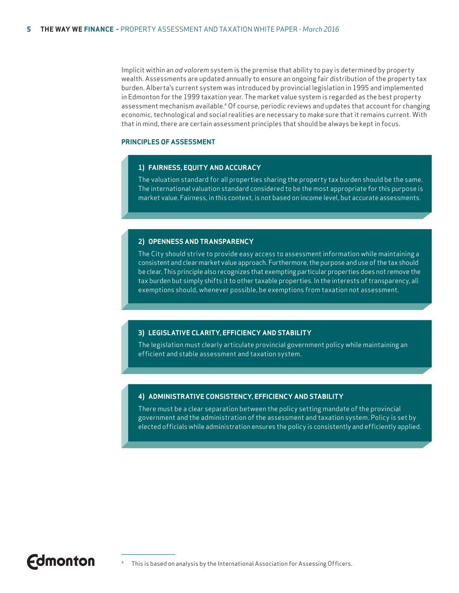Implicit within an *ad valorem* system is the premise that ability to pay is determined by property wealth. Assessments are updated annually to ensure an ongoing fair distribution of the property tax burden. Alberta's current system was introduced by provincial legislation in 1995 and implemented in Edmonton for the 1999 taxation year. The market value system is regarded as the best property assessment mechanism available.4 Of course, periodic reviews and updates that account for changing economic, technological and social realities are necessary to make sure that it remains current. With that in mind, there are certain assessment principles that should be always be kept in focus.

#### **PRINCIPLES OF ASSESSMENT**

#### **1) FAIRNESS, EQUITY AND ACCURACY**

The valuation standard for all properties sharing the property tax burden should be the same. The international valuation standard considered to be the most appropriate for this purpose is market value. Fairness, in this context, is not based on income level, but accurate assessments.

#### **2) OPENNESS AND TRANSPARENCY**

The City should strive to provide easy access to assessment information while maintaining a consistent and clear market value approach. Furthermore, the purpose and use of the tax should be clear. This principle also recognizes that exempting particular properties does not remove the tax burden but simply shifts it to other taxable properties. In the interests of transparency, all exemptions should, whenever possible, be exemptions from taxation not assessment.

#### **3) LEGISLATIVE CLARITY, EFFICIENCY AND STABILITY**

The legislation must clearly articulate provincial government policy while maintaining an efficient and stable assessment and taxation system.

#### **4) ADMINISTRATIVE CONSISTENCY, EFFICIENCY AND STABILITY**

There must be a clear separation between the policy setting mandate of the provincial government and the administration of the assessment and taxation system. Policy is set by elected officials while administration ensures the policy is consistently and efficiently applied.

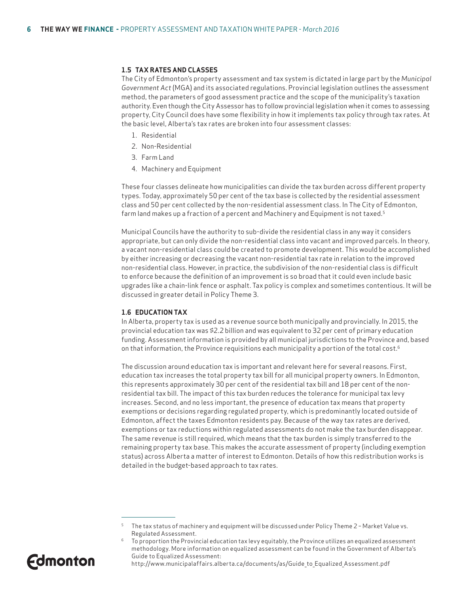#### **1.5 TAX RATES AND CLASSES**

The City of Edmonton's property assessment and tax system is dictated in large part by the *Municipal Government Act* (MGA) and its associated regulations. Provincial legislation outlines the assessment method, the parameters of good assessment practice and the scope of the municipality's taxation authority. Even though the City Assessor has to follow provincial legislation when it comes to assessing property, City Council does have some flexibility in how it implements tax policy through tax rates. At the basic level, Alberta's tax rates are broken into four assessment classes:

- 1. Residential
- 2. Non-Residential
- 3. Farm Land
- 4. Machinery and Equipment

These four classes delineate how municipalities can divide the tax burden across different property types. Today, approximately 50 per cent of the tax base is collected by the residential assessment class and 50 per cent collected by the non-residential assessment class. In The City of Edmonton, farm land makes up a fraction of a percent and Machinery and Equipment is not taxed.5

Municipal Councils have the authority to sub-divide the residential class in any way it considers appropriate, but can only divide the non-residential class into vacant and improved parcels. In theory, a vacant non-residential class could be created to promote development. This would be accomplished by either increasing or decreasing the vacant non-residential tax rate in relation to the improved non-residential class. However, in practice, the subdivision of the non-residential class is difficult to enforce because the definition of an improvement is so broad that it could even include basic upgrades like a chain-link fence or asphalt. Tax policy is complex and sometimes contentious. It will be discussed in greater detail in Policy Theme 3.

#### **1.6 EDUCATION TAX**

In Alberta, property tax is used as a revenue source both municipally and provincially. In 2015, the provincial education tax was \$2.2 billion and was equivalent to 32 per cent of primary education funding. Assessment information is provided by all municipal jurisdictions to the Province and, based on that information, the Province requisitions each municipality a portion of the total cost.<sup>6</sup>

The discussion around education tax is important and relevant here for several reasons. First, education tax increases the total property tax bill for all municipal property owners. In Edmonton, this represents approximately 30 per cent of the residential tax bill and 18 per cent of the nonresidential tax bill. The impact of this tax burden reduces the tolerance for municipal tax levy increases. Second, and no less important, the presence of education tax means that property exemptions or decisions regarding regulated property, which is predominantly located outside of Edmonton, affect the taxes Edmonton residents pay. Because of the way tax rates are derived, exemptions or tax reductions within regulated assessments do not make the tax burden disappear. The same revenue is still required, which means that the tax burden is simply transferred to the remaining property tax base. This makes the accurate assessment of property (including exemption status) across Alberta a matter of interest to Edmonton. Details of how this redistribution works is detailed in the budget-based approach to tax rates.

To proportion the Provincial education tax levy equitably, the Province utilizes an equalized assessment methodology. More information on equalized assessment can be found in the Government of Alberta's Guide to Equalized Assessment:



The tax status of machinery and equipment will be discussed under Policy Theme 2 - Market Value vs. Regulated Assessment.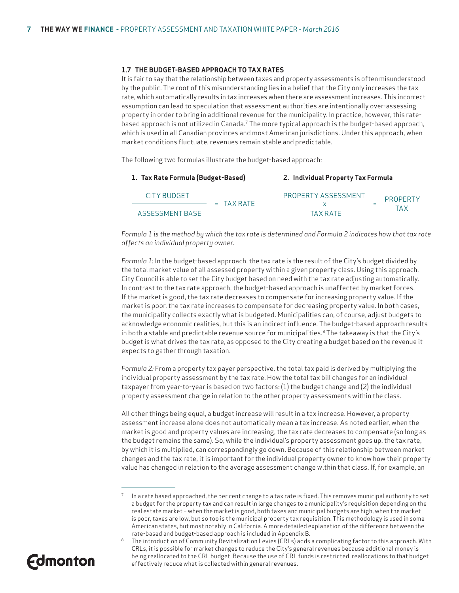#### **1.7 THE BUDGET-BASED APPROACH TO TAX RATES**

It is fair to say that the relationship between taxes and property assessments is often misunderstood by the public. The root of this misunderstanding lies in a belief that the City only increases the tax rate, which automatically results in tax increases when there are assessment increases. This incorrect assumption can lead to speculation that assessment authorities are intentionally over-assessing property in order to bring in additional revenue for the municipality. In practice, however, this ratebased approach is not utilized in Canada.7 The more typical approach is the budget-based approach, which is used in all Canadian provinces and most American jurisdictions. Under this approach, when market conditions fluctuate, revenues remain stable and predictable.

The following two formulas illustrate the budget-based approach:

| 1. Tax Rate Formula (Budget-Based) |              | 2. Individual Property Tax Formula |                 |  |  |
|------------------------------------|--------------|------------------------------------|-----------------|--|--|
| CITY BUDGET                        | $= TAX RATF$ | PROPERTY ASSESSMENT                | <b>PROPERTY</b> |  |  |
| ASSESSMENT BASE                    |              | <b>TAX RATE</b>                    | TAX             |  |  |

*Formula 1 is the method by which the tax rate is determined and Formula 2 indicates how that tax rate affects an individual property owner.* 

*Formula 1:* In the budget-based approach, the tax rate is the result of the City's budget divided by the total market value of all assessed property within a given property class. Using this approach, City Council is able to set the City budget based on need with the tax rate adjusting automatically. In contrast to the tax rate approach, the budget-based approach is unaffected by market forces. If the market is good, the tax rate decreases to compensate for increasing property value. If the market is poor, the tax rate increases to compensate for decreasing property value. In both cases, the municipality collects exactly what is budgeted. Municipalities can, of course, adjust budgets to acknowledge economic realities, but this is an indirect influence. The budget-based approach results in both a stable and predictable revenue source for municipalities.<sup>8</sup> The takeaway is that the City's budget is what drives the tax rate, as opposed to the City creating a budget based on the revenue it expects to gather through taxation.

*Formula 2:* From a property tax payer perspective, the total tax paid is derived by multiplying the individual property assessment by the tax rate. How the total tax bill changes for an individual taxpayer from year-to-year is based on two factors: (1) the budget change and (2) the individual property assessment change in relation to the other property assessments within the class.

All other things being equal, a budget increase will result in a tax increase. However, a property assessment increase alone does not automatically mean a tax increase. As noted earlier, when the market is good and property values are increasing, the tax rate decreases to compensate (so long as the budget remains the same). So, while the individual's property assessment goes up, the tax rate, by which it is multiplied, can correspondingly go down. Because of this relationship between market changes and the tax rate, it is important for the individual property owner to know how their property value has changed in relation to the average assessment change within that class. If, for example, an

<sup>8</sup> The introduction of Community Revitalization Levies (CRLs) adds a complicating factor to this approach. With CRLs, it is possible for market changes to reduce the City's general revenues because additional money is being reallocated to the CRL budget. Because the use of CRL funds is restricted, reallocations to that budget effectively reduce what is collected within general revenues.



In a rate based approached, the per cent change to a tax rate is fixed. This removes municipal authority to set a budget for the property tax and can result in large changes to a municipality's requisition depending on the real estate market – when the market is good, both taxes and municipal budgets are high, when the market is poor, taxes are low, but so too is the municipal property tax requisition. This methodology is used in some American states, but most notably in California. A more detailed explanation of the difference between the rate-based and budget-based approach is included in Appendix B.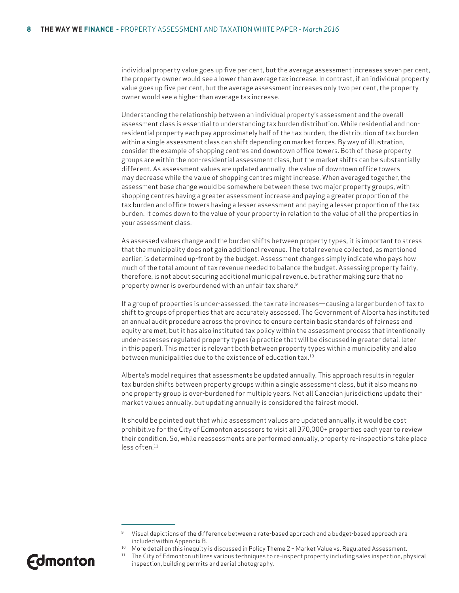individual property value goes up five per cent, but the average assessment increases seven per cent, the property owner would see a lower than average tax increase. In contrast, if an individual property value goes up five per cent, but the average assessment increases only two per cent, the property owner would see a higher than average tax increase.

Understanding the relationship between an individual property's assessment and the overall assessment class is essential to understanding tax burden distribution. While residential and nonresidential property each pay approximately half of the tax burden, the distribution of tax burden within a single assessment class can shift depending on market forces. By way of illustration, consider the example of shopping centres and downtown office towers. Both of these property groups are within the non-residential assessment class, but the market shifts can be substantially different. As assessment values are updated annually, the value of downtown office towers may decrease while the value of shopping centres might increase. When averaged together, the assessment base change would be somewhere between these two major property groups, with shopping centres having a greater assessment increase and paying a greater proportion of the tax burden and office towers having a lesser assessment and paying a lesser proportion of the tax burden. It comes down to the value of your property in relation to the value of all the properties in your assessment class.

As assessed values change and the burden shifts between property types, it is important to stress that the municipality does not gain additional revenue. The total revenue collected, as mentioned earlier, is determined up-front by the budget. Assessment changes simply indicate who pays how much of the total amount of tax revenue needed to balance the budget. Assessing property fairly, therefore, is not about securing additional municipal revenue, but rather making sure that no property owner is overburdened with an unfair tax share.9

If a group of properties is under-assessed, the tax rate increases—causing a larger burden of tax to shift to groups of properties that are accurately assessed. The Government of Alberta has instituted an annual audit procedure across the province to ensure certain basic standards of fairness and equity are met, but it has also instituted tax policy within the assessment process that intentionally under-assesses regulated property types (a practice that will be discussed in greater detail later in this paper). This matter is relevant both between property types within a municipality and also between municipalities due to the existence of education tax.<sup>10</sup>

Alberta's model requires that assessments be updated annually. This approach results in regular tax burden shifts between property groups within a single assessment class, but it also means no one property group is over-burdened for multiple years. Not all Canadian jurisdictions update their market values annually, but updating annually is considered the fairest model.

It should be pointed out that while assessment values are updated annually, it would be cost prohibitive for the City of Edmonton assessors to visit all 370,000+ properties each year to review their condition. So, while reassessments are performed annually, property re-inspections take place less often.11

<sup>11</sup> The City of Edmonton utilizes various techniques to re-inspect property including sales inspection, physical inspection, building permits and aerial photography.



<sup>9</sup> Visual depictions of the difference between a rate-based approach and a budget-based approach are included within Appendix B.<br>More detail on this inequity is discussed in Policy Theme 2 – Market Value vs. Regulated Assessment.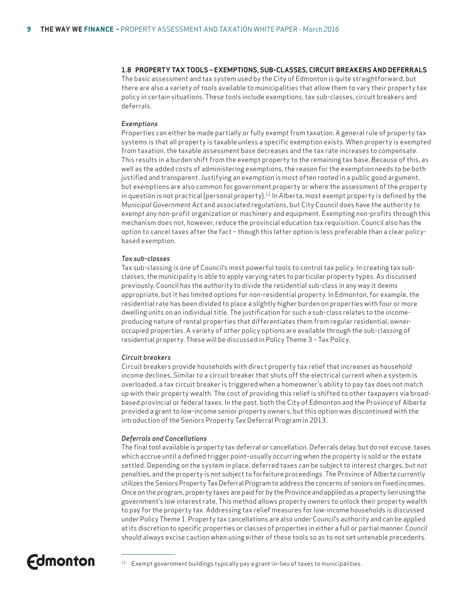#### **1.8 PROPERTY TAX TOOLS – EXEMPTIONS, SUB-CLASSES, CIRCUIT BREAKERS AND DEFERRALS**

The basic assessment and tax system used by the City of Edmonton is quite straightforward, but there are also a variety of tools available to municipalities that allow them to vary their property tax policy in certain situations. These tools include exemptions, tax sub-classes, circuit breakers and deferrals.

#### *Exemptions*

Properties can either be made partially or fully exempt from taxation. A general rule of property tax systems is that all property is taxable unless a specific exemption exists. When property is exempted from taxation, the taxable assessment base decreases and the tax rate increases to compensate. This results in a burden shift from the exempt property to the remaining tax base. Because of this, as well as the added costs of administering exemptions, the reason for the exemption needs to be both justified and transparent. Justifying an exemption is most often rooted in a public good argument, but exemptions are also common for government property or where the assessment of the property in question is not practical (personal property).<sup>12</sup> In Alberta, most exempt property is defined by the *Municipal Government Act* and associated regulations, but City Council does have the authority to exempt any non-profit organization or machinery and equipment. Exempting non-profits through this mechanism does not, however, reduce the provincial education tax requisition. Council also has the option to cancel taxes after the fact – though this latter option is less preferable than a clear policybased exemption.

#### *Tax sub-classes*

Tax sub-classing is one of Council's most powerful tools to control tax policy. In creating tax subclasses, the municipality is able to apply varying rates to particular property types. As discussed previously, Council has the authority to divide the residential sub-class in any way it deems appropriate, but it has limited options for non-residential property. In Edmonton, for example, the residential rate has been divided to place a slightly higher burden on properties with four or more dwelling units on an individual title. The justification for such a sub-class relates to the incomeproducing nature of rental properties that differentiates them from regular residential, owneroccupied properties. A variety of other policy options are available through the sub-classing of residential property. These will be discussed in Policy Theme 3 – Tax Policy.

#### *Circuit breakers*

Circuit breakers provide households with direct property tax relief that increases as household income declines. Similar to a circuit breaker that shuts off the electrical current when a system is overloaded, a tax circuit breaker is triggered when a homeowner's ability to pay tax does not match up with their property wealth. The cost of providing this relief is shifted to other taxpayers via broadbased provincial or federal taxes. In the past, both the City of Edmonton and the Province of Alberta provided a grant to low-income senior property owners, but this option was discontinued with the introduction of the Seniors Property Tax Deferral Program in 2013.

#### *Deferrals and Cancellations*

The final tool available is property tax deferral or cancellation. Deferrals delay, but do not excuse, taxes which accrue until a defined trigger point–usually occurring when the property is sold or the estate settled. Depending on the system in place, deferred taxes can be subject to interest charges, but not penalties, and the property is not subject to forfeiture proceedings. The Province of Alberta currently utilizes the Seniors Property Tax Deferral Program to address the concerns of seniors on fixed incomes. Once on the program, property taxes are paid for by the Province and applied as a property lien using the government's low interest rate. This method allows property owners to unlock their property wealth to pay for the property tax. Addressing tax relief measures for low-income households is discussed under Policy Theme 1. Property tax cancellations are also under Council's authority and can be applied at its discretion to specific properties or classes of properties in either a full or partial manner. Council should always excise caution when using either of these tools so as to not set untenable precedents.

<sup>12</sup> Exempt government buildings typically pay a grant-in-lieu of taxes to municipalities.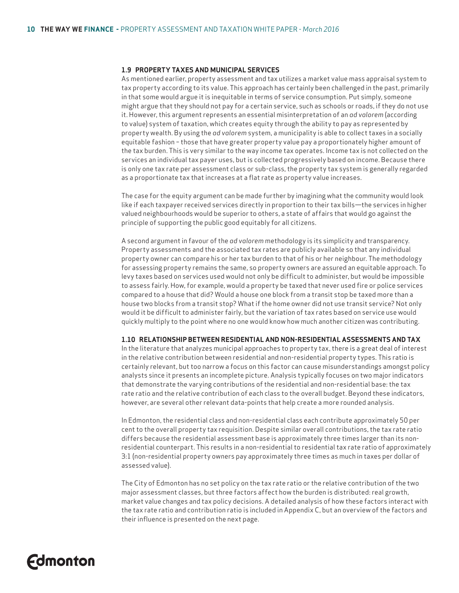#### **1.9 PROPERTY TAXES AND MUNICIPAL SERVICES**

As mentioned earlier, property assessment and tax utilizes a market value mass appraisal system to tax property according to its value. This approach has certainly been challenged in the past, primarily in that some would argue it is inequitable in terms of service consumption. Put simply, someone might argue that they should not pay for a certain service, such as schools or roads, if they do not use it. However, this argument represents an essential misinterpretation of an *ad valorem* (according to value) system of taxation, which creates equity through the ability to pay as represented by property wealth. By using the *ad valorem* system, a municipality is able to collect taxes in a socially equitable fashion – those that have greater property value pay a proportionately higher amount of the tax burden. This is very similar to the way income tax operates. Income tax is not collected on the services an individual tax payer uses, but is collected progressively based on income. Because there is only one tax rate per assessment class or sub-class, the property tax system is generally regarded as a proportionate tax that increases at a flat rate as property value increases.

The case for the equity argument can be made further by imagining what the community would look like if each taxpayer received services directly in proportion to their tax bills—the services in higher valued neighbourhoods would be superior to others, a state of affairs that would go against the principle of supporting the public good equitably for all citizens.

A second argument in favour of the *ad valorem* methodology is its simplicity and transparency. Property assessments and the associated tax rates are publicly available so that any individual property owner can compare his or her tax burden to that of his or her neighbour. The methodology for assessing property remains the same, so property owners are assured an equitable approach. To levy taxes based on services used would not only be difficult to administer, but would be impossible to assess fairly. How, for example, would a property be taxed that never used fire or police services compared to a house that did? Would a house one block from a transit stop be taxed more than a house two blocks from a transit stop? What if the home owner did not use transit service? Not only would it be difficult to administer fairly, but the variation of tax rates based on service use would quickly multiply to the point where no one would know how much another citizen was contributing.

#### **1.10 RELATIONSHIP BETWEEN RESIDENTIAL AND NON-RESIDENTIAL ASSESSMENTS AND TAX**

In the literature that analyzes municipal approaches to property tax, there is a great deal of interest in the relative contribution between residential and non-residential property types. This ratio is certainly relevant, but too narrow a focus on this factor can cause misunderstandings amongst policy analysts since it presents an incomplete picture. Analysis typically focuses on two major indicators that demonstrate the varying contributions of the residential and non-residential base: the tax rate ratio and the relative contribution of each class to the overall budget. Beyond these indicators, however, are several other relevant data-points that help create a more rounded analysis.

In Edmonton, the residential class and non-residential class each contribute approximately 50 per cent to the overall property tax requisition. Despite similar overall contributions, the tax rate ratio differs because the residential assessment base is approximately three times larger than its nonresidential counterpart. This results in a non-residential to residential tax rate ratio of approximately 3:1 (non-residential property owners pay approximately three times as much in taxes per dollar of assessed value).

The City of Edmonton has no set policy on the tax rate ratio or the relative contribution of the two major assessment classes, but three factors affect how the burden is distributed: real growth, market value changes and tax policy decisions. A detailed analysis of how these factors interact with the tax rate ratio and contribution ratio is included in Appendix C, but an overview of the factors and their influence is presented on the next page.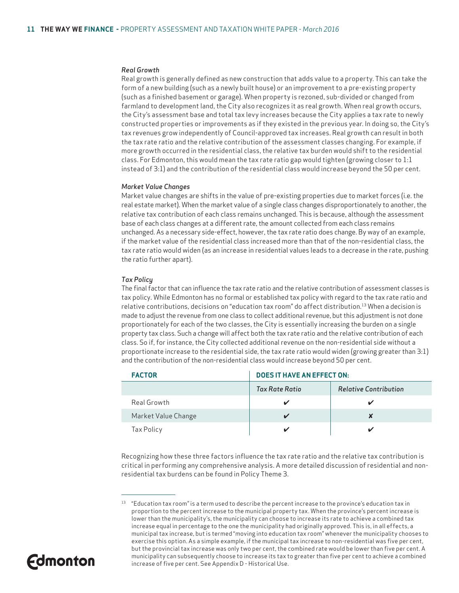#### *Real Growth*

Real growth is generally defined as new construction that adds value to a property. This can take the form of a new building (such as a newly built house) or an improvement to a pre-existing property (such as a finished basement or garage). When property is rezoned, sub-divided or changed from farmland to development land, the City also recognizes it as real growth. When real growth occurs, the City's assessment base and total tax levy increases because the City applies a tax rate to newly constructed properties or improvements as if they existed in the previous year. In doing so, the City's tax revenues grow independently of Council-approved tax increases. Real growth can result in both the tax rate ratio and the relative contribution of the assessment classes changing. For example, if more growth occurred in the residential class, the relative tax burden would shift to the residential class. For Edmonton, this would mean the tax rate ratio gap would tighten (growing closer to 1:1 instead of 3:1) and the contribution of the residential class would increase beyond the 50 per cent.

#### *Market Value Changes*

Market value changes are shifts in the value of pre-existing properties due to market forces (i.e. the real estate market). When the market value of a single class changes disproportionately to another, the relative tax contribution of each class remains unchanged. This is because, although the assessment base of each class changes at a different rate, the amount collected from each class remains unchanged. As a necessary side-effect, however, the tax rate ratio does change. By way of an example, if the market value of the residential class increased more than that of the non-residential class, the tax rate ratio would widen (as an increase in residential values leads to a decrease in the rate, pushing the ratio further apart).

#### *Tax Policy*

The final factor that can influence the tax rate ratio and the relative contribution of assessment classes is tax policy. While Edmonton has no formal or established tax policy with regard to the tax rate ratio and relative contributions, decisions on "education tax room" do affect distribution. <sup>13</sup> When a decision is made to adjust the revenue from one class to collect additional revenue, but this adjustment is not done proportionately for each of the two classes, the City is essentially increasing the burden on a single property tax class. Such a change will affect both the tax rate ratio and the relative contribution of each class. So if, for instance, the City collected additional revenue on the non-residential side without a proportionate increase to the residential side, the tax rate ratio would widen (growing greater than 3:1) and the contribution of the non-residential class would increase beyond 50 per cent.

| <b>FACTOR</b>       | <b>DOES IT HAVE AN EFFECT ON:</b> |                              |  |  |  |  |
|---------------------|-----------------------------------|------------------------------|--|--|--|--|
|                     | Tax Rate Ratio                    | <b>Relative Contribution</b> |  |  |  |  |
| Real Growth         |                                   |                              |  |  |  |  |
| Market Value Change |                                   | X                            |  |  |  |  |
| Tax Policy          |                                   |                              |  |  |  |  |

Recognizing how these three factors influence the tax rate ratio and the relative tax contribution is critical in performing any comprehensive analysis. A more detailed discussion of residential and nonresidential tax burdens can be found in Policy Theme 3.

<sup>&</sup>lt;sup>13</sup> "Education tax room" is a term used to describe the percent increase to the province's education tax in proportion to the percent increase to the municipal property tax. When the province's percent increase is lower than the municipality's, the municipality can choose to increase its rate to achieve a combined tax increase equal in percentage to the one the municipality had originally approved. This is, in all effects, a municipal tax increase, but is termed "moving into education tax room" whenever the municipality chooses to exercise this option. As a simple example, if the municipal tax increase to non-residential was five per cent, but the provincial tax increase was only two per cent, the combined rate would be lower than five per cent. A municipality can subsequently choose to increase its tax to greater than five per cent to achieve a combined increase of five per cent. See Appendix D - Historical Use.

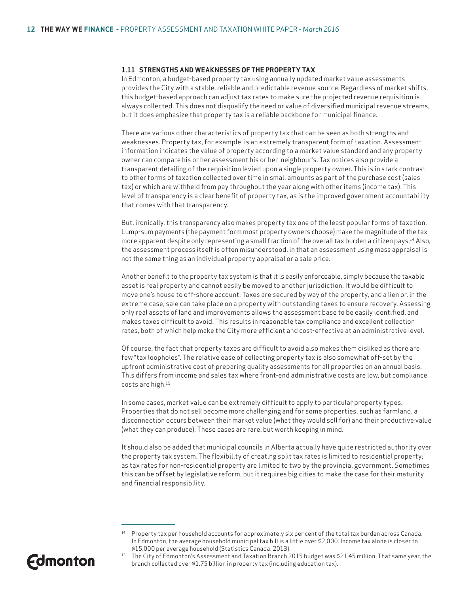#### **1.11 STRENGTHS AND WEAKNESSES OF THE PROPERTY TAX**

In Edmonton, a budget-based property tax using annually updated market value assessments provides the City with a stable, reliable and predictable revenue source. Regardless of market shifts, this budget-based approach can adjust tax rates to make sure the projected revenue requisition is always collected. This does not disqualify the need or value of diversified municipal revenue streams, but it does emphasize that property tax is a reliable backbone for municipal finance.

There are various other characteristics of property tax that can be seen as both strengths and weaknesses. Property tax, for example, is an extremely transparent form of taxation. Assessment information indicates the value of property according to a market value standard and any property owner can compare his or her assessment his or her neighbour's. Tax notices also provide a transparent detailing of the requisition levied upon a single property owner. This is in stark contrast to other forms of taxation collected over time in small amounts as part of the purchase cost (sales tax) or which are withheld from pay throughout the year along with other items (income tax). This level of transparency is a clear benefit of property tax, as is the improved government accountability that comes with that transparency.

But, ironically, this transparency also makes property tax one of the least popular forms of taxation. Lump-sum payments (the payment form most property owners choose) make the magnitude of the tax more apparent despite only representing a small fraction of the overall tax burden a citizen pays.14 Also, the assessment process itself is often misunderstood, in that an assessment using mass appraisal is not the same thing as an individual property appraisal or a sale price.

Another benefit to the property tax system is that it is easily enforceable, simply because the taxable asset is real property and cannot easily be moved to another jurisdiction. It would be difficult to move one's house to off-shore account. Taxes are secured by way of the property, and a lien or, in the extreme case, sale can take place on a property with outstanding taxes to ensure recovery. Assessing only real assets of land and improvements allows the assessment base to be easily identified, and makes taxes difficult to avoid. This results in reasonable tax compliance and excellent collection rates, both of which help make the City more efficient and cost-effective at an administrative level.

Of course, the fact that property taxes are difficult to avoid also makes them disliked as there are few "tax loopholes". The relative ease of collecting property tax is also somewhat off-set by the upfront administrative cost of preparing quality assessments for all properties on an annual basis. This differs from income and sales tax where front-end administrative costs are low, but compliance costs are high.15

In some cases, market value can be extremely difficult to apply to particular property types. Properties that do not sell become more challenging and for some properties, such as farmland, a disconnection occurs between their market value (what they would sell for) and their productive value (what they can produce). These cases are rare, but worth keeping in mind.

It should also be added that municipal councils in Alberta actually have quite restricted authority over the property tax system. The flexibility of creating split tax rates is limited to residential property; as tax rates for non-residential property are limited to two by the provincial government. Sometimes this can be offset by legislative reform, but it requires big cities to make the case for their maturity and financial responsibility.

<sup>\$15,000</sup> per average household (Statistics Canada, 2013).<br>The City of Edmonton's Assessment and Taxation Branch 2015 budget was \$21.45 million. That same year, the branch collected over \$1.75 billion in property tax (including education tax).



<sup>&</sup>lt;sup>14</sup> Property tax per household accounts for approximately six per cent of the total tax burden across Canada. In Edmonton, the average household municipal tax bill is a little over \$2,000. Income tax alone is closer to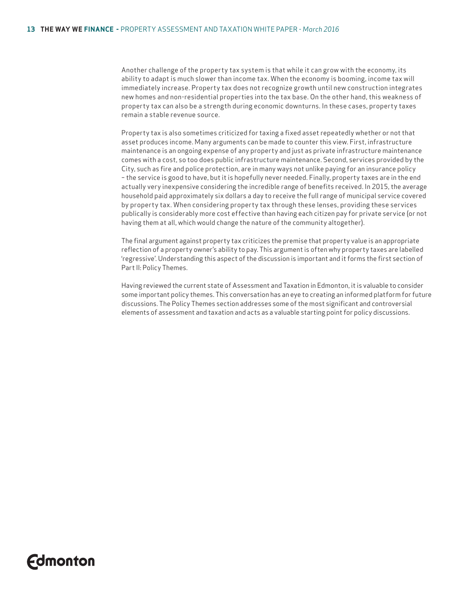Another challenge of the property tax system is that while it can grow with the economy, its ability to adapt is much slower than income tax. When the economy is booming, income tax will immediately increase. Property tax does not recognize growth until new construction integrates new homes and non-residential properties into the tax base. On the other hand, this weakness of property tax can also be a strength during economic downturns. In these cases, property taxes remain a stable revenue source.

Property tax is also sometimes criticized for taxing a fixed asset repeatedly whether or not that asset produces income. Many arguments can be made to counter this view. First, infrastructure maintenance is an ongoing expense of any property and just as private infrastructure maintenance comes with a cost, so too does public infrastructure maintenance. Second, services provided by the City, such as fire and police protection, are in many ways not unlike paying for an insurance policy – the service is good to have, but it is hopefully never needed. Finally, property taxes are in the end actually very inexpensive considering the incredible range of benefits received. In 2015, the average household paid approximately six dollars a day to receive the full range of municipal service covered by property tax. When considering property tax through these lenses, providing these services publically is considerably more cost effective than having each citizen pay for private service (or not having them at all, which would change the nature of the community altogether).

The final argument against property tax criticizes the premise that property value is an appropriate reflection of a property owner's ability to pay. This argument is often why property taxes are labelled 'regressive'. Understanding this aspect of the discussion is important and it forms the first section of Part II: Policy Themes.

Having reviewed the current state of Assessment and Taxation in Edmonton, it is valuable to consider some important policy themes. This conversation has an eye to creating an informed platform for future discussions. The Policy Themes section addresses some of the most significant and controversial elements of assessment and taxation and acts as a valuable starting point for policy discussions.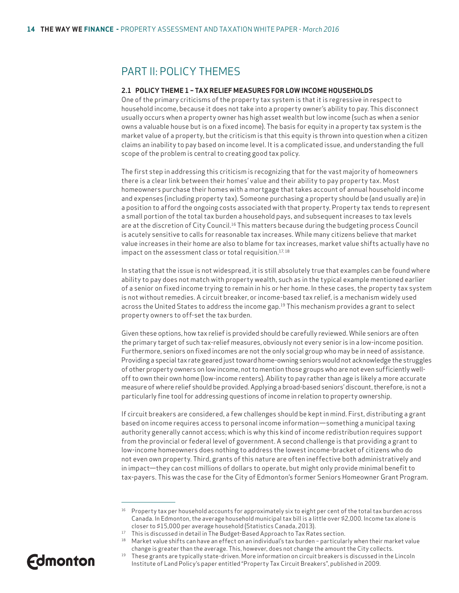### PART II: POLICY THEMES

#### **2.1 POLICY THEME 1 – TAX RELIEF MEASURES FOR LOW INCOME HOUSEHOLDS**

One of the primary criticisms of the property tax system is that it is regressive in respect to household income, because it does not take into a property owner's ability to pay. This disconnect usually occurs when a property owner has high asset wealth but low income (such as when a senior owns a valuable house but is on a fixed income). The basis for equity in a property tax system is the market value of a property, but the criticism is that this equity is thrown into question when a citizen claims an inability to pay based on income level. It is a complicated issue, and understanding the full scope of the problem is central to creating good tax policy.

The first step in addressing this criticism is recognizing that for the vast majority of homeowners there is a clear link between their homes' value and their ability to pay property tax. Most homeowners purchase their homes with a mortgage that takes account of annual household income and expenses (including property tax). Someone purchasing a property should be (and usually are) in a position to afford the ongoing costs associated with that property. Property tax tends to represent a small portion of the total tax burden a household pays, and subsequent increases to tax levels are at the discretion of City Council.<sup>16</sup> This matters because during the budgeting process Council is acutely sensitive to calls for reasonable tax increases. While many citizens believe that market value increases in their home are also to blame for tax increases, market value shifts actually have no impact on the assessment class or total requisition.<sup>17,18</sup>

In stating that the issue is not widespread, it is still absolutely true that examples can be found where ability to pay does not match with property wealth, such as in the typical example mentioned earlier of a senior on fixed income trying to remain in his or her home. In these cases, the property tax system is not without remedies. A circuit breaker, or income-based tax relief, is a mechanism widely used across the United States to address the income gap.<sup>19</sup> This mechanism provides a grant to select property owners to off-set the tax burden.

Given these options, how tax relief is provided should be carefully reviewed. While seniors are often the primary target of such tax-relief measures, obviously not every senior is in a low-income position. Furthermore, seniors on fixed incomes are not the only social group who may be in need of assistance. Providing a special tax rate geared just toward home-owning seniors would not acknowledge the struggles of other property owners on low income, not to mention those groups who are not even sufficiently welloff to own their own home (low-income renters). Ability to pay rather than age is likely a more accurate measure of where relief should be provided. Applying a broad-based seniors' discount, therefore, is not a particularly fine tool for addressing questions of income in relation to property ownership.

If circuit breakers are considered, a few challenges should be kept in mind. First, distributing a grant based on income requires access to personal income information—something a municipal taxing authority generally cannot access; which is why this kind of income redistribution requires support from the provincial or federal level of government. A second challenge is that providing a grant to low-income homeowners does nothing to address the lowest income-bracket of citizens who do not even own property. Third, grants of this nature are often ineffective both administratively and in impact—they can cost millions of dollars to operate, but might only provide minimal benefit to tax-payers. This was the case for the City of Edmonton's former Seniors Homeowner Grant Program.

<sup>19</sup> These grants are typically state-driven. More information on circuit breakers is discussed in the Lincoln Institute of Land Policy's paper entitled "Property Tax Circuit Breakers", published in 2009.



<sup>&</sup>lt;sup>16</sup> Property tax per household accounts for approximately six to eight per cent of the total tax burden across Canada. In Edmonton, the average household municipal tax bill is a little over \$2,000. Income tax alone is closer to \$15,000 per average household (Statistics Canada, 2013).

<sup>&</sup>lt;sup>17</sup> This is discussed in detail in The Budget-Based Approach to Tax Rates section.<br><sup>18</sup> Market value shifts can have an effect on an individual's tax burden – particularly when their market value change is greater than the average. This, however, does not change the amount the City collects.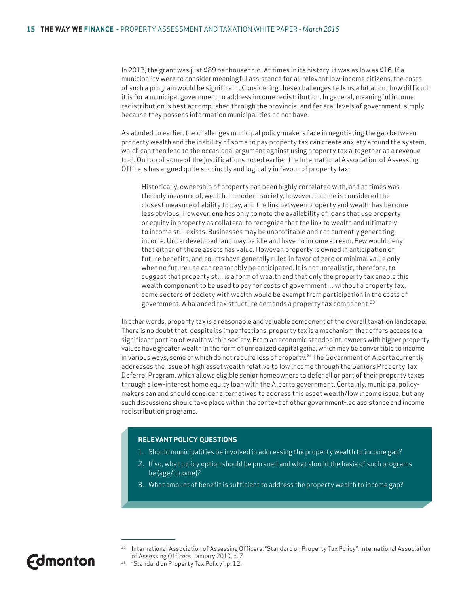In 2013, the grant was just \$89 per household. At times in its history, it was as low as \$16. If a municipality were to consider meaningful assistance for all relevant low-income citizens, the costs of such a program would be significant. Considering these challenges tells us a lot about how difficult it is for a municipal government to address income redistribution. In general, meaningful income redistribution is best accomplished through the provincial and federal levels of government, simply because they possess information municipalities do not have.

As alluded to earlier, the challenges municipal policy-makers face in negotiating the gap between property wealth and the inability of some to pay property tax can create anxiety around the system, which can then lead to the occasional argument against using property tax altogether as a revenue tool. On top of some of the justifications noted earlier, the International Association of Assessing Officers has argued quite succinctly and logically in favour of property tax:

Historically, ownership of property has been highly correlated with, and at times was the only measure of, wealth. In modern society, however, income is considered the closest measure of ability to pay, and the link between property and wealth has become less obvious. However, one has only to note the availability of loans that use property or equity in property as collateral to recognize that the link to wealth and ultimately to income still exists. Businesses may be unprofitable and not currently generating income. Underdeveloped land may be idle and have no income stream. Few would deny that either of these assets has value. However, property is owned in anticipation of future benefits, and courts have generally ruled in favor of zero or minimal value only when no future use can reasonably be anticipated. It is not unrealistic, therefore, to suggest that property still is a form of wealth and that only the property tax enable this wealth component to be used to pay for costs of government… without a property tax, some sectors of society with wealth would be exempt from participation in the costs of government. A balanced tax structure demands a property tax component.20

In other words, property tax is a reasonable and valuable component of the overall taxation landscape. There is no doubt that, despite its imperfections, property tax is a mechanism that offers access to a significant portion of wealth within society. From an economic standpoint, owners with higher property values have greater wealth in the form of unrealized capital gains, which may be convertible to income in various ways, some of which do not require loss of property.<sup>21</sup> The Government of Alberta currently addresses the issue of high asset wealth relative to low income through the Seniors Property Tax Deferral Program, which allows eligible senior homeowners to defer all or part of their property taxes through a low-interest home equity loan with the Alberta government. Certainly, municipal policymakers can and should consider alternatives to address this asset wealth/low income issue, but any such discussions should take place within the context of other government-led assistance and income redistribution programs.

#### **RELEVANT POLICY QUESTIONS**

- 1. Should municipalities be involved in addressing the property wealth to income gap?
- 2. If so, what policy option should be pursued and what should the basis of such programs be (age/income)?
- 3. What amount of benefit is sufficient to address the property wealth to income gap?

<sup>20</sup> International Association of Assessing Officers, "Standard on Property Tax Policy", International Association of Assessing Officers, January 2010, p. 7.

<sup>21 &</sup>quot;Standard on Property Tax Policy", p. 12.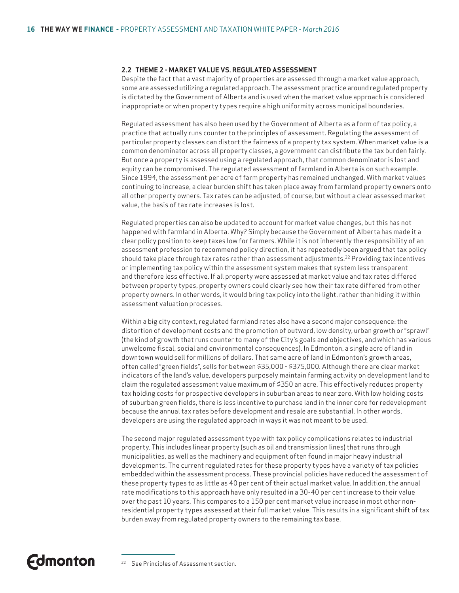#### **2.2 THEME 2 - MARKET VALUE VS. REGULATED ASSESSMENT**

Despite the fact that a vast majority of properties are assessed through a market value approach, some are assessed utilizing a regulated approach. The assessment practice around regulated property is dictated by the Government of Alberta and is used when the market value approach is considered inappropriate or when property types require a high uniformity across municipal boundaries.

Regulated assessment has also been used by the Government of Alberta as a form of tax policy, a practice that actually runs counter to the principles of assessment. Regulating the assessment of particular property classes can distort the fairness of a property tax system. When market value is a common denominator across all property classes, a government can distribute the tax burden fairly. But once a property is assessed using a regulated approach, that common denominator is lost and equity can be compromised. The regulated assessment of farmland in Alberta is on such example. Since 1994, the assessment per acre of farm property has remained unchanged. With market values continuing to increase, a clear burden shift has taken place away from farmland property owners onto all other property owners. Tax rates can be adjusted, of course, but without a clear assessed market value, the basis of tax rate increases is lost.

Regulated properties can also be updated to account for market value changes, but this has not happened with farmland in Alberta. Why? Simply because the Government of Alberta has made it a clear policy position to keep taxes low for farmers. While it is not inherently the responsibility of an assessment profession to recommend policy direction, it has repeatedly been argued that tax policy should take place through tax rates rather than assessment adjustments.22 Providing tax incentives or implementing tax policy within the assessment system makes that system less transparent and therefore less effective. If all property were assessed at market value and tax rates differed between property types, property owners could clearly see how their tax rate differed from other property owners. In other words, it would bring tax policy into the light, rather than hiding it within assessment valuation processes.

Within a big city context, regulated farmland rates also have a second major consequence: the distortion of development costs and the promotion of outward, low density, urban growth or "sprawl" (the kind of growth that runs counter to many of the City's goals and objectives, and which has various unwelcome fiscal, social and environmental consequences). In Edmonton, a single acre of land in downtown would sell for millions of dollars. That same acre of land in Edmonton's growth areas, often called "green fields", sells for between \$35,000 - \$375,000. Although there are clear market indicators of the land's value, developers purposely maintain farming activity on development land to claim the regulated assessment value maximum of \$350 an acre. This effectively reduces property tax holding costs for prospective developers in suburban areas to near zero. With low holding costs of suburban green fields, there is less incentive to purchase land in the inner core for redevelopment because the annual tax rates before development and resale are substantial. In other words, developers are using the regulated approach in ways it was not meant to be used.

The second major regulated assessment type with tax policy complications relates to industrial property. This includes linear property (such as oil and transmission lines) that runs through municipalities, as well as the machinery and equipment often found in major heavy industrial developments. The current regulated rates for these property types have a variety of tax policies embedded within the assessment process. These provincial policies have reduced the assessment of these property types to as little as 40 per cent of their actual market value. In addition, the annual rate modifications to this approach have only resulted in a 30-40 per cent increase to their value over the past 10 years. This compares to a 150 per cent market value increase in most other nonresidential property types assessed at their full market value. This results in a significant shift of tax burden away from regulated property owners to the remaining tax base.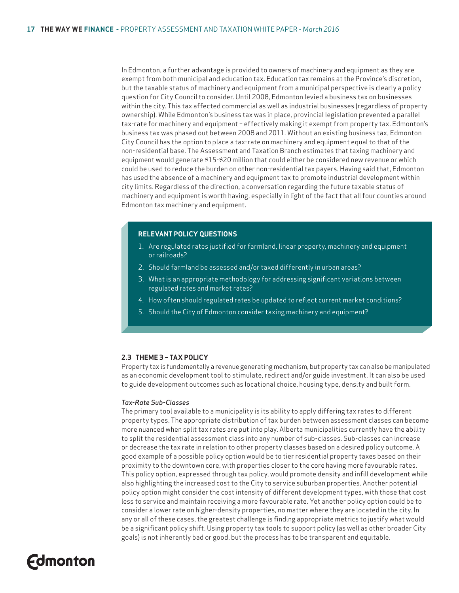In Edmonton, a further advantage is provided to owners of machinery and equipment as they are exempt from both municipal and education tax. Education tax remains at the Province's discretion, but the taxable status of machinery and equipment from a municipal perspective is clearly a policy question for City Council to consider. Until 2008, Edmonton levied a business tax on businesses within the city. This tax affected commercial as well as industrial businesses (regardless of property ownership). While Edmonton's business tax was in place, provincial legislation prevented a parallel tax-rate for machinery and equipment – effectively making it exempt from property tax. Edmonton's business tax was phased out between 2008 and 2011. Without an existing business tax, Edmonton City Council has the option to place a tax-rate on machinery and equipment equal to that of the non-residential base. The Assessment and Taxation Branch estimates that taxing machinery and equipment would generate \$15-\$20 million that could either be considered new revenue or which could be used to reduce the burden on other non-residential tax payers. Having said that, Edmonton has used the absence of a machinery and equipment tax to promote industrial development within city limits. Regardless of the direction, a conversation regarding the future taxable status of machinery and equipment is worth having, especially in light of the fact that all four counties around Edmonton tax machinery and equipment.

#### **RELEVANT POLICY QUESTIONS**

- 1. Are regulated rates justified for farmland, linear property, machinery and equipment or railroads?
- 2. Should farmland be assessed and/or taxed differently in urban areas?
- 3. What is an appropriate methodology for addressing significant variations between regulated rates and market rates?
- 4. How often should regulated rates be updated to reflect current market conditions?
- 5. Should the City of Edmonton consider taxing machinery and equipment?

#### **2.3 THEME 3 – TAX POLICY**

Property tax is fundamentally a revenue generating mechanism, but property tax can also be manipulated as an economic development tool to stimulate, redirect and/or guide investment. It can also be used to guide development outcomes such as locational choice, housing type, density and built form.

#### *Tax-Rate Sub-Classes*

The primary tool available to a municipality is its ability to apply differing tax rates to different property types. The appropriate distribution of tax burden between assessment classes can become more nuanced when split tax rates are put into play. Alberta municipalities currently have the ability to split the residential assessment class into any number of sub-classes. Sub-classes can increase or decrease the tax rate in relation to other property classes based on a desired policy outcome. A good example of a possible policy option would be to tier residential property taxes based on their proximity to the downtown core, with properties closer to the core having more favourable rates. This policy option, expressed through tax policy, would promote density and infill development while also highlighting the increased cost to the City to service suburban properties. Another potential policy option might consider the cost intensity of different development types, with those that cost less to service and maintain receiving a more favourable rate. Yet another policy option could be to consider a lower rate on higher-density properties, no matter where they are located in the city. In any or all of these cases, the greatest challenge is finding appropriate metrics to justify what would be a significant policy shift. Using property tax tools to support policy (as well as other broader City goals) is not inherently bad or good, but the process has to be transparent and equitable.

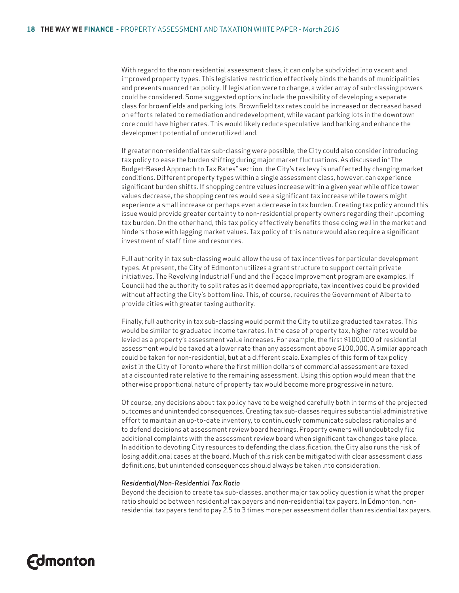With regard to the non-residential assessment class, it can only be subdivided into vacant and improved property types. This legislative restriction effectively binds the hands of municipalities and prevents nuanced tax policy. If legislation were to change, a wider array of sub-classing powers could be considered. Some suggested options include the possibility of developing a separate class for brownfields and parking lots. Brownfield tax rates could be increased or decreased based on efforts related to remediation and redevelopment, while vacant parking lots in the downtown core could have higher rates. This would likely reduce speculative land banking and enhance the development potential of underutilized land.

If greater non-residential tax sub-classing were possible, the City could also consider introducing tax policy to ease the burden shifting during major market fluctuations. As discussed in "The Budget-Based Approach to Tax Rates" section, the City's tax levy is unaffected by changing market conditions. Different property types within a single assessment class, however, can experience significant burden shifts. If shopping centre values increase within a given year while office tower values decrease, the shopping centres would see a significant tax increase while towers might experience a small increase or perhaps even a decrease in tax burden. Creating tax policy around this issue would provide greater certainty to non-residential property owners regarding their upcoming tax burden. On the other hand, this tax policy effectively benefits those doing well in the market and hinders those with lagging market values. Tax policy of this nature would also require a significant investment of staff time and resources.

Full authority in tax sub-classing would allow the use of tax incentives for particular development types. At present, the City of Edmonton utilizes a grant structure to support certain private initiatives. The Revolving Industrial Fund and the Façade Improvement program are examples. If Council had the authority to split rates as it deemed appropriate, tax incentives could be provided without affecting the City's bottom line. This, of course, requires the Government of Alberta to provide cities with greater taxing authority.

Finally, full authority in tax sub-classing would permit the City to utilize graduated tax rates. This would be similar to graduated income tax rates. In the case of property tax, higher rates would be levied as a property's assessment value increases. For example, the first \$100,000 of residential assessment would be taxed at a lower rate than any assessment above \$100,000. A similar approach could be taken for non-residential, but at a different scale. Examples of this form of tax policy exist in the City of Toronto where the first million dollars of commercial assessment are taxed at a discounted rate relative to the remaining assessment. Using this option would mean that the otherwise proportional nature of property tax would become more progressive in nature.

Of course, any decisions about tax policy have to be weighed carefully both in terms of the projected outcomes and unintended consequences. Creating tax sub-classes requires substantial administrative effort to maintain an up-to-date inventory, to continuously communicate subclass rationales and to defend decisions at assessment review board hearings. Property owners will undoubtedly file additional complaints with the assessment review board when significant tax changes take place. In addition to devoting City resources to defending the classification, the City also runs the risk of losing additional cases at the board. Much of this risk can be mitigated with clear assessment class definitions, but unintended consequences should always be taken into consideration.

#### *Residential/Non-Residential Tax Ratio*

Beyond the decision to create tax sub-classes, another major tax policy question is what the proper ratio should be between residential tax payers and non-residential tax payers. In Edmonton, nonresidential tax payers tend to pay 2.5 to 3 times more per assessment dollar than residential tax payers.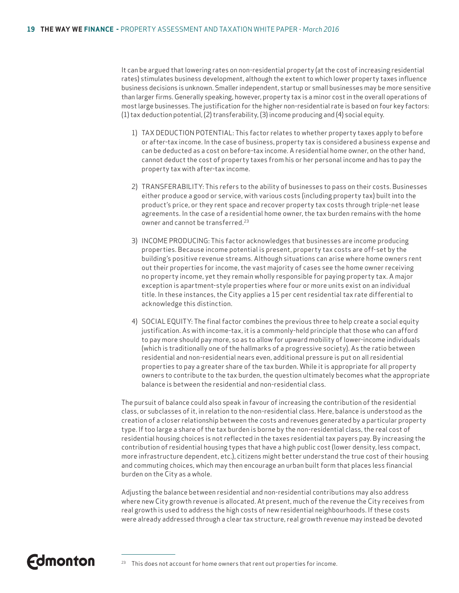It can be argued that lowering rates on non-residential property (at the cost of increasing residential rates) stimulates business development, although the extent to which lower property taxes influence business decisions is unknown. Smaller independent, startup or small businesses may be more sensitive than larger firms. Generally speaking, however, property tax is a minor cost in the overall operations of most large businesses. The justification for the higher non-residential rate is based on four key factors: (1) tax deduction potential, (2) transferability, (3) income producing and (4) social equity.

- 1) TAX DEDUCTION POTENTIAL: This factor relates to whether property taxes apply to before or after-tax income. In the case of business, property tax is considered a business expense and can be deducted as a cost on before-tax income. A residential home owner, on the other hand, cannot deduct the cost of property taxes from his or her personal income and has to pay the property tax with after-tax income.
- 2) TRANSFERABILITY: This refers to the ability of businesses to pass on their costs. Businesses either produce a good or service, with various costs (including property tax) built into the product's price, or they rent space and recover property tax costs through triple-net lease agreements. In the case of a residential home owner, the tax burden remains with the home owner and cannot be transferred.23
- 3) INCOME PRODUCING: This factor acknowledges that businesses are income producing properties. Because income potential is present, property tax costs are off-set by the building's positive revenue streams. Although situations can arise where home owners rent out their properties for income, the vast majority of cases see the home owner receiving no property income, yet they remain wholly responsible for paying property tax. A major exception is apartment-style properties where four or more units exist on an individual title. In these instances, the City applies a 15 per cent residential tax rate differential to acknowledge this distinction.
- 4) SOCIAL EQUITY: The final factor combines the previous three to help create a social equity justification. As with income-tax, it is a commonly-held principle that those who can afford to pay more should pay more, so as to allow for upward mobility of lower-income individuals (which is traditionally one of the hallmarks of a progressive society). As the ratio between residential and non-residential nears even, additional pressure is put on all residential properties to pay a greater share of the tax burden. While it is appropriate for all property owners to contribute to the tax burden, the question ultimately becomes what the appropriate balance is between the residential and non-residential class.

The pursuit of balance could also speak in favour of increasing the contribution of the residential class, or subclasses of it, in relation to the non-residential class. Here, balance is understood as the creation of a closer relationship between the costs and revenues generated by a particular property type. If too large a share of the tax burden is borne by the non-residential class, the real cost of residential housing choices is not reflected in the taxes residential tax payers pay. By increasing the contribution of residential housing types that have a high public cost (lower density, less compact, more infrastructure dependent, etc.), citizens might better understand the true cost of their housing and commuting choices, which may then encourage an urban built form that places less financial burden on the City as a whole.

Adjusting the balance between residential and non-residential contributions may also address where new City growth revenue is allocated. At present, much of the revenue the City receives from real growth is used to address the high costs of new residential neighbourhoods. If these costs were already addressed through a clear tax structure, real growth revenue may instead be devoted

### **Fdmonton**

<sup>23</sup> This does not account for home owners that rent out properties for income.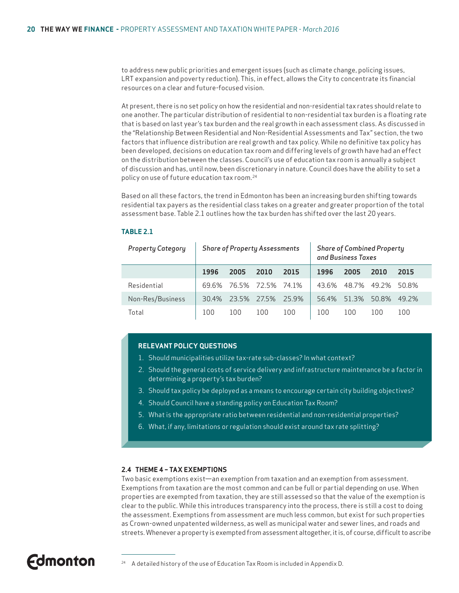to address new public priorities and emergent issues (such as climate change, policing issues, LRT expansion and poverty reduction). This, in effect, allows the City to concentrate its financial resources on a clear and future-focused vision.

At present, there is no set policy on how the residential and non-residential tax rates should relate to one another. The particular distribution of residential to non-residential tax burden is a floating rate that is based on last year's tax burden and the real growth in each assessment class. As discussed in the "Relationship Between Residential and Non-Residential Assessments and Tax" section, the two factors that influence distribution are real growth and tax policy. While no definitive tax policy has been developed, decisions on education tax room and differing levels of growth have had an effect on the distribution between the classes. Council's use of education tax room is annually a subject of discussion and has, until now, been discretionary in nature. Council does have the ability to set a policy on use of future education tax room.24

Based on all these factors, the trend in Edmonton has been an increasing burden shifting towards residential tax payers as the residential class takes on a greater and greater proportion of the total assessment base. Table 2.1 outlines how the tax burden has shifted over the last 20 years.

| <b>Property Category</b> | <b>Share of Property Assessments</b> |       |                   |       |       | <b>Share of Combined Property</b><br>and Business Taxes |       |       |
|--------------------------|--------------------------------------|-------|-------------------|-------|-------|---------------------------------------------------------|-------|-------|
|                          | 1996                                 | 2005  | 2010              | 2015  | 1996  | 2005                                                    | 2010  | 2015  |
| Residential              | 69 6%                                |       | 76.5% 72.5% 74.1% |       | 43.6% | 48.7%                                                   | 49.2% | 50.8% |
| Non-Res/Business         | 30.4%                                | 23.5% | 27.5%             | 25.9% | 56.4% | 513%                                                    | 50.8% | 49 2% |
| Total                    | 100                                  | 100   | 100               | 100   | 100   | 100                                                     | 100   | 100   |

#### **TABLE 2.1**

#### **RELEVANT POLICY QUESTIONS**

- 1. Should municipalities utilize tax-rate sub-classes? In what context?
- 2. Should the general costs of service delivery and infrastructure maintenance be a factor in determining a property's tax burden?
- 3. Should tax policy be deployed as a means to encourage certain city building objectives?
- 4. Should Council have a standing policy on Education Tax Room?
- 5. What is the appropriate ratio between residential and non-residential properties?
- 6. What, if any, limitations or regulation should exist around tax rate splitting?

#### **2.4 THEME 4 – TAX EXEMPTIONS**

Two basic exemptions exist—an exemption from taxation and an exemption from assessment. Exemptions from taxation are the most common and can be full or partial depending on use. When properties are exempted from taxation, they are still assessed so that the value of the exemption is clear to the public. While this introduces transparency into the process, there is still a cost to doing the assessment. Exemptions from assessment are much less common, but exist for such properties as Crown-owned unpatented wilderness, as well as municipal water and sewer lines, and roads and streets. Whenever a property is exempted from assessment altogether, it is, of course, difficult to ascribe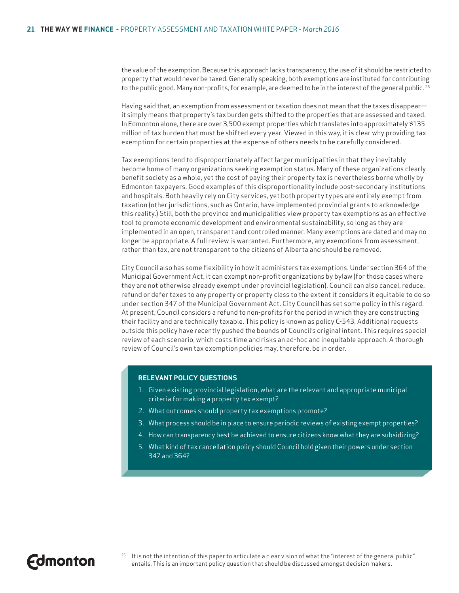the value of the exemption. Because this approach lacks transparency, the use of it should be restricted to property that would never be taxed. Generally speaking, both exemptions are instituted for contributing to the public good. Many non-profits, for example, are deemed to be in the interest of the general public. 25

Having said that, an exemption from assessment or taxation does not mean that the taxes disappear it simply means that property's tax burden gets shifted to the properties that are assessed and taxed. In Edmonton alone, there are over 3,500 exempt properties which translates into approximately \$135 million of tax burden that must be shifted every year. Viewed in this way, it is clear why providing tax exemption for certain properties at the expense of others needs to be carefully considered.

Tax exemptions tend to disproportionately affect larger municipalities in that they inevitably become home of many organizations seeking exemption status. Many of these organizations clearly benefit society as a whole, yet the cost of paying their property tax is nevertheless borne wholly by Edmonton taxpayers. Good examples of this disproportionality include post-secondary institutions and hospitals. Both heavily rely on City services, yet both property types are entirely exempt from taxation (other jurisdictions, such as Ontario, have implemented provincial grants to acknowledge this reality.) Still, both the province and municipalities view property tax exemptions as an effective tool to promote economic development and environmental sustainability, so long as they are implemented in an open, transparent and controlled manner. Many exemptions are dated and may no longer be appropriate. A full review is warranted. Furthermore, any exemptions from assessment, rather than tax, are not transparent to the citizens of Alberta and should be removed.

City Council also has some flexibility in how it administers tax exemptions. Under section 364 of the Municipal Government Act, it can exempt non-profit organizations by bylaw (for those cases where they are not otherwise already exempt under provincial legislation). Council can also cancel, reduce, refund or defer taxes to any property or property class to the extent it considers it equitable to do so under section 347 of the Municipal Government Act. City Council has set some policy in this regard. At present, Council considers a refund to non-profits for the period in which they are constructing their facility and are technically taxable. This policy is known as policy C-543. Additional requests outside this policy have recently pushed the bounds of Council's original intent. This requires special review of each scenario, which costs time and risks an ad-hoc and inequitable approach. A thorough review of Council's own tax exemption policies may, therefore, be in order.

#### **RELEVANT POLICY QUESTIONS**

- 1. Given existing provincial legislation, what are the relevant and appropriate municipal criteria for making a property tax exempt?
- 2. What outcomes should property tax exemptions promote?
- 3. What process should be in place to ensure periodic reviews of existing exempt properties?
- 4. How can transparency best be achieved to ensure citizens know what they are subsidizing?
- 5. What kind of tax cancellation policy should Council hold given their powers under section 347 and 364?

**Fdmonton** 

 $25$  It is not the intention of this paper to articulate a clear vision of what the "interest of the general public" entails. This is an important policy question that should be discussed amongst decision makers.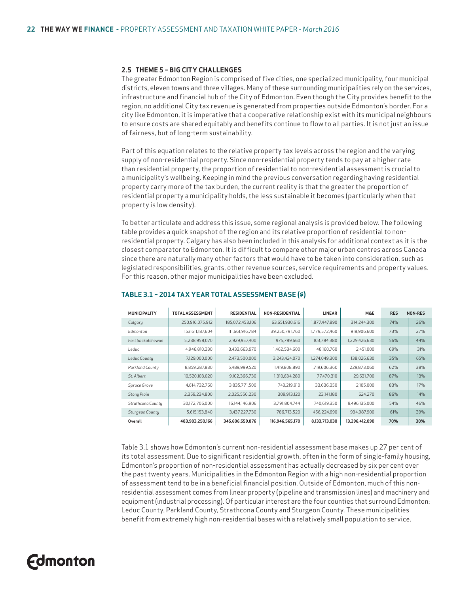#### **2.5 THEME 5 – BIG CITY CHALLENGES**

The greater Edmonton Region is comprised of five cities, one specialized municipality, four municipal districts, eleven towns and three villages. Many of these surrounding municipalities rely on the services, infrastructure and financial hub of the City of Edmonton. Even though the City provides benefit to the region, no additional City tax revenue is generated from properties outside Edmonton's border. For a city like Edmonton, it is imperative that a cooperative relationship exist with its municipal neighbours to ensure costs are shared equitably and benefits continue to flow to all parties. It is not just an issue of fairness, but of long-term sustainability.

Part of this equation relates to the relative property tax levels across the region and the varying supply of non-residential property. Since non-residential property tends to pay at a higher rate than residential property, the proportion of residential to non-residential assessment is crucial to a municipality's wellbeing. Keeping in mind the previous conversation regarding having residential property carry more of the tax burden, the current reality is that the greater the proportion of residential property a municipality holds, the less sustainable it becomes (particularly when that property is low density).

To better articulate and address this issue, some regional analysis is provided below. The following table provides a quick snapshot of the region and its relative proportion of residential to nonresidential property. Calgary has also been included in this analysis for additional context as it is the closest comparator to Edmonton. It is difficult to compare other major urban centres across Canada since there are naturally many other factors that would have to be taken into consideration, such as legislated responsibilities, grants, other revenue sources, service requirements and property values. For this reason, other major municipalities have been excluded.

| <b>MUNICIPALITY</b> | <b>TOTAL ASSESSMENT</b> | <b>RESIDENTIAL</b> | <b>NON-RESIDENTIAL</b> | <b>LINEAR</b> | <b>M&amp;E</b> | <b>RES</b> | NON-RES |
|---------------------|-------------------------|--------------------|------------------------|---------------|----------------|------------|---------|
| Calgary             | 250,916,075,912         | 185,072,453,106    | 63,651,930,616         | 1.877.447.890 | 314.244.300    | 74%        | 26%     |
| Edmonton            | 153.611.187.604         | 111,661,916,784    | 39.250.791.760         | 1.779.572.460 | 918,906,600    | 73%        | 27%     |
| Fort Saskatchewan   | 5,238,958,070           | 2,929,957,400      | 975,789,660            | 103,784,380   | 1,229,426,630  | 56%        | 44%     |
| Leduc               | 4,946,810,330           | 3,433,663,970      | 1,462,534,600          | 48,160,760    | 2.451.000      | 69%        | 31%     |
| Leduc County        | 7,129,000,000           | 2,473,500,000      | 3,243,424,070          | 1,274,049,300 | 138,026,630    | 35%        | 65%     |
| Parkland County     | 8,859,287,830           | 5,489,999,520      | 1,419,808,890          | 1,719,606,360 | 229.873.060    | 62%        | 38%     |
| St. Albert          | 10,520,103,020          | 9,102,366,730      | 1,310,634,280          | 77,470,310    | 29,631,700     | 87%        | 13%     |
| Spruce Grove        | 4,614,732,760           | 3,835,771,500      | 743.219.910            | 33.636.350    | 2.105.000      | 83%        | 17%     |
| Stony Plain         | 2,359,234,800           | 2,025,556,230      | 309,913,120            | 23.141.180    | 624,270        | 86%        | 14%     |
| Strathcona County   | 30.172.706.000          | 16.144.146.906     | 3.791.804.744          | 740.619.350   | 9.496.135.000  | 54%        | 46%     |
| Sturgeon County     | 5,615,153,840           | 3,437,227,730      | 786.713.520            | 456.224.690   | 934.987.900    | 61%        | 39%     |
| Overall             | 483,983,250,166         | 345,606,559,876    | 116,946,565,170        | 8,133,713,030 | 13,296,412,090 | 70%        | 30%     |

#### **TABLE 3.1 – 2014 TAX YEAR TOTAL ASSESSMENT BASE (\$)**

Table 3.1 shows how Edmonton's current non-residential assessment base makes up 27 per cent of its total assessment. Due to significant residential growth, often in the form of single-family housing, Edmonton's proportion of non-residential assessment has actually decreased by six per cent over the past twenty years. Municipalities in the Edmonton Region with a high non-residential proportion of assessment tend to be in a beneficial financial position. Outside of Edmonton, much of this nonresidential assessment comes from linear property (pipeline and transmission lines) and machinery and equipment (industrial processing). Of particular interest are the four counties that surround Edmonton: Leduc County, Parkland County, Strathcona County and Sturgeon County. These municipalities benefit from extremely high non-residential bases with a relatively small population to service.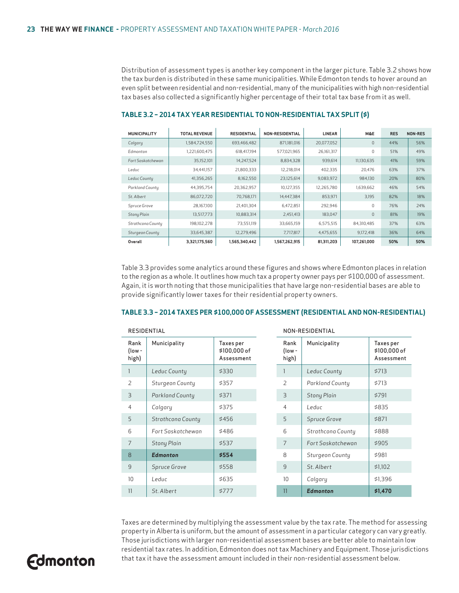Distribution of assessment types is another key component in the larger picture. Table 3.2 shows how the tax burden is distributed in these same municipalities. While Edmonton tends to hover around an even split between residential and non-residential, many of the municipalities with high non-residential tax bases also collected a significantly higher percentage of their total tax base from it as well.

| <b>MUNICIPALITY</b> | <b>TOTAL REVENUE</b> | <b>RESIDENTIAL</b> | <b>NON-RESIDENTIAL</b> | <b>LINEAR</b> | <b>M&amp;E</b> | <b>RES</b> | <b>NON-RES</b> |
|---------------------|----------------------|--------------------|------------------------|---------------|----------------|------------|----------------|
| Calgary             | 1,584,724,550        | 693,466,482        | 871,181,016            | 20,077,052    | $\Omega$       | 44%        | 56%            |
| Edmonton            | 1,221,600,475        | 618.417.194        | 577,021,965            | 26,161,317    | 0              | 51%        | 49%            |
| Fort Saskatchewan   | 35,152,101           | 14,247,524         | 8.834.328              | 939.614       | 11.130.635     | 41%        | 59%            |
| Leduc               | 34,441,157           | 21,800,333         | 12,218,014             | 402.335       | 20.476         | 63%        | 37%            |
| Leduc County        | 41,356,265           | 8,162,550          | 23,125,614             | 9,083,972     | 984,130        | 20%        | 80%            |
| Parkland County     | 44,395,754           | 20,362,957         | 10.127.355             | 12,265,780    | 1,639,662      | 46%        | 54%            |
| St. Albert          | 86,072,720           | 70,768,171         | 14.447.384             | 853,971       | 3,195          | 82%        | 18%            |
| Spruce Grove        | 28,167,100           | 21,401,304         | 6,472,851              | 292,946       | $\Omega$       | 76%        | 24%            |
| Stony Plain         | 13,517,773           | 10,883,314         | 2,451,413              | 183.047       | $\mathbf{0}$   | 81%        | 19%            |
| Strathcona County   | 198, 102, 278        | 73,551,119         | 33,665,159             | 6,575,515     | 84.310.485     | 37%        | 63%            |
| Sturgeon County     | 33,645,387           | 12,279,496         | 7.717.817              | 4,475,655     | 9.172.418      | 36%        | 64%            |
| Overall             | 3,321,175,560        | 1,565,340,442      | 1,567,262,915          | 81,311,203    | 107,261,000    | 50%        | 50%            |

#### **TABLE 3.2 – 2014 TAX YEAR RESIDENTIAL TO NON-RESIDENTIAL TAX SPLIT (\$)**

Table 3.3 provides some analytics around these figures and shows where Edmonton places in relation to the region as a whole. It outlines how much tax a property owner pays per \$100,000 of assessment. Again, it is worth noting that those municipalities that have large non-residential bases are able to provide significantly lower taxes for their residential property owners.

#### **TABLE 3.3 – 2014 TAXES PER \$100,000 OF ASSESSMENT (RESIDENTIAL AND NON-RESIDENTIAL)**

| RESIDENTIAL             |                    |                                         |  | NON-RESIDENTIAL         |                    |                                         |  |
|-------------------------|--------------------|-----------------------------------------|--|-------------------------|--------------------|-----------------------------------------|--|
| Rank<br>(low -<br>high) | Municipality       | Taxes per<br>\$100,000 of<br>Assessment |  | Rank<br>(low -<br>high) | Municipality       | Taxes per<br>\$100,000 of<br>Assessment |  |
| 1                       | Leduc County       | \$330                                   |  |                         | Leduc County       | \$713                                   |  |
| $\overline{2}$          | Sturgeon County    | \$357                                   |  | $\overline{2}$          | Parkland County    | \$713                                   |  |
| 3                       | Parkland County    | \$371                                   |  | 3                       | <b>Stony Plain</b> | \$791                                   |  |
| $\overline{4}$          | Calgary            | \$375                                   |  | 4                       | Leduc              | \$835                                   |  |
| 5                       | Strathcona County  | \$456                                   |  | 5                       | Spruce Grove       | \$871                                   |  |
| 6                       | Fort Saskatchewan  | \$486                                   |  | 6                       | Strathcona County  | \$888                                   |  |
| $\overline{7}$          | <b>Stony Plain</b> | \$537                                   |  | 7                       | Fort Saskatchewan  | \$905                                   |  |
| 8                       | <b>Edmonton</b>    | \$554                                   |  | 8                       | Sturgeon County    | \$981                                   |  |
| 9                       | Spruce Grove       | \$558                                   |  | 9                       | St. Albert         | \$1,102                                 |  |
| 10                      | Leduc              | \$635                                   |  | 10                      | Calgary            | \$1,396                                 |  |
| 11                      | St. Albert         | \$777                                   |  | 11                      | <b>Edmonton</b>    | \$1,470                                 |  |

Taxes are determined by multiplying the assessment value by the tax rate. The method for assessing property in Alberta is uniform, but the amount of assessment in a particular category can vary greatly. Those jurisdictions with larger non-residential assessment bases are better able to maintain low residential tax rates. In addition, Edmonton does not tax Machinery and Equipment. Those jurisdictions that tax it have the assessment amount included in their non-residential assessment below.

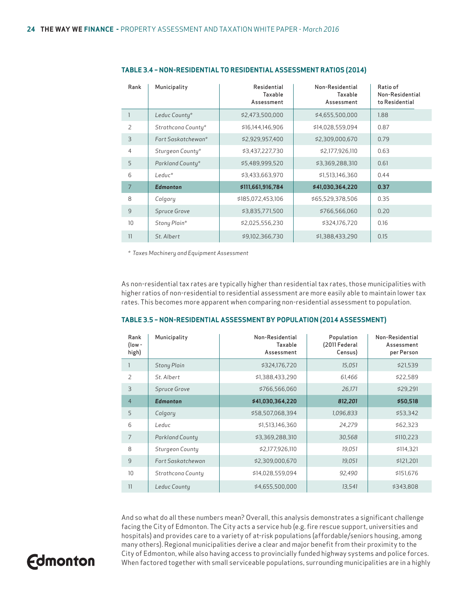| Rank           | Municipality       | Residential<br>Taxable<br>Assessment | Non-Residential<br>Taxable<br>Assessment | Ratio of<br>Non-Residential<br>to Residential |
|----------------|--------------------|--------------------------------------|------------------------------------------|-----------------------------------------------|
|                | Leduc County*      | \$2,473,500,000                      | \$4,655,500,000                          | 1.88                                          |
| 2              | Strathcona County* | \$16,144,146,906                     | \$14,028,559,094                         | 0.87                                          |
| 3              | Fort Saskatchewan* | \$2,929,957,400                      | \$2,309,000,670                          | 0.79                                          |
| $\overline{4}$ | Sturgeon County*   | \$3,437,227,730                      | \$2,177,926,110                          | 0.63                                          |
| 5              | Parkland County*   | \$5,489,999,520                      | \$3,369,288,310                          | 0.61                                          |
| 6              | Leduc*             | \$3,433,663,970                      | \$1,513,146,360                          | 0.44                                          |
| $\overline{7}$ | <b>Edmonton</b>    | \$111,661,916,784                    | \$41,030,364,220                         | 0.37                                          |
| 8              | Calgary            | \$185,072,453,106                    | \$65,529,378,506                         | 0.35                                          |
| 9              | Spruce Grove       | \$3,835,771,500                      | \$766,566,060                            | 0.20                                          |
| 10             | Stony Plain*       | \$2,025,556,230                      | \$324,176,720                            | 0.16                                          |
| 11             | St. Albert         | \$9,102,366,730                      | \$1,388,433,290                          | 0.15                                          |

#### **TABLE 3.4 – NON-RESIDENTIAL TO RESIDENTIAL ASSESSMENT RATIOS (2014)**

*\* Taxes Machinery and Equipment Assessment*

As non-residential tax rates are typically higher than residential tax rates, those municipalities with higher ratios of non-residential to residential assessment are more easily able to maintain lower tax rates. This becomes more apparent when comparing non-residential assessment to population.

| Rank<br>(low -<br>high) | Municipality           | Non-Residential<br>Taxable<br>Assessment | Population<br>(2011 Federal<br>Census) | Non-Residential<br>Assessment<br>per Person |
|-------------------------|------------------------|------------------------------------------|----------------------------------------|---------------------------------------------|
|                         | <b>Stony Plain</b>     | \$324,176,720                            | 15,051                                 | \$21,539                                    |
| 2                       | St. Albert             | \$1,388,433,290                          | 61,466                                 | \$22,589                                    |
| 3                       | Spruce Grove           | \$766,566,060                            | 26,171                                 | \$29,291                                    |
| $\overline{4}$          | <b>Edmonton</b>        | \$41,030,364,220                         | 812,201                                | \$50,518                                    |
| 5                       | Calgary                | \$58,507,068,394                         | 1,096,833                              | \$53,342                                    |
| 6                       | Leduc                  | \$1,513,146,360                          | 24,279                                 | \$62,323                                    |
| 7                       | <b>Parkland County</b> | \$3,369,288,310                          | 30,568                                 | \$110,223                                   |
| 8                       | Sturgeon County        | \$2,177,926,110                          | 19,051                                 | \$114,321                                   |
| 9                       | Fort Saskatchewan      | \$2,309,000,670                          | 19,051                                 | \$121,201                                   |
| 10                      | Strathcona County      | \$14,028,559,094                         | 92,490                                 | \$151,676                                   |
| 11                      | Leduc Countu           | \$4,655,500,000                          | 13,541                                 | \$343,808                                   |

#### **TABLE 3.5 – NON-RESIDENTIAL ASSESSMENT BY POPULATION (2014 ASSESSMENT)**

And so what do all these numbers mean? Overall, this analysis demonstrates a significant challenge facing the City of Edmonton. The City acts a service hub (e.g. fire rescue support, universities and hospitals) and provides care to a variety of at-risk populations (affordable/seniors housing, among many others). Regional municipalities derive a clear and major benefit from their proximity to the City of Edmonton, while also having access to provincially funded highway systems and police forces. When factored together with small serviceable populations, surrounding municipalities are in a highly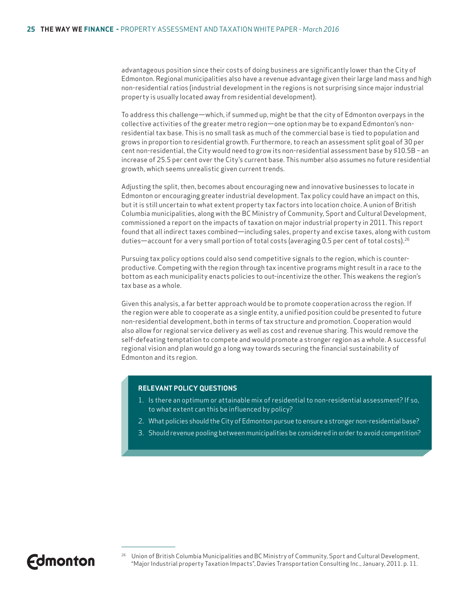advantageous position since their costs of doing business are significantly lower than the City of Edmonton. Regional municipalities also have a revenue advantage given their large land mass and high non-residential ratios (industrial development in the regions is not surprising since major industrial property is usually located away from residential development).

To address this challenge—which, if summed up, might be that the city of Edmonton overpays in the collective activities of the greater metro region—one option may be to expand Edmonton's nonresidential tax base. This is no small task as much of the commercial base is tied to population and grows in proportion to residential growth. Furthermore, to reach an assessment split goal of 30 per cent non-residential, the City would need to grow its non-residential assessment base by \$10.5B – an increase of 25.5 per cent over the City's current base. This number also assumes no future residential growth, which seems unrealistic given current trends.

Adjusting the split, then, becomes about encouraging new and innovative businesses to locate in Edmonton or encouraging greater industrial development. Tax policy could have an impact on this, but it is still uncertain to what extent property tax factors into location choice. A union of British Columbia municipalities, along with the BC Ministry of Community, Sport and Cultural Development, commissioned a report on the impacts of taxation on major industrial property in 2011. This report found that all indirect taxes combined—including sales, property and excise taxes, along with custom duties—account for a very small portion of total costs (averaging 0.5 per cent of total costs).<sup>26</sup>

Pursuing tax policy options could also send competitive signals to the region, which is counterproductive. Competing with the region through tax incentive programs might result in a race to the bottom as each municipality enacts policies to out-incentivize the other. This weakens the region's tax base as a whole.

Given this analysis, a far better approach would be to promote cooperation across the region. If the region were able to cooperate as a single entity, a unified position could be presented to future non-residential development, both in terms of tax structure and promotion. Cooperation would also allow for regional service delivery as well as cost and revenue sharing. This would remove the self-defeating temptation to compete and would promote a stronger region as a whole. A successful regional vision and plan would go a long way towards securing the financial sustainability of Edmonton and its region.

#### **RELEVANT POLICY QUESTIONS**

- 1. Is there an optimum or attainable mix of residential to non-residential assessment? If so, to what extent can this be influenced by policy?
- 2. What policies should the City of Edmonton pursue to ensure a stronger non-residential base?
- 3. Should revenue pooling between municipalities be considered in order to avoid competition?

<sup>&</sup>lt;sup>26</sup> Union of British Columbia Municipalities and BC Ministry of Community, Sport and Cultural Development, "Major Industrial property Taxation Impacts", Davies Transportation Consulting Inc., January, 2011. p. 11.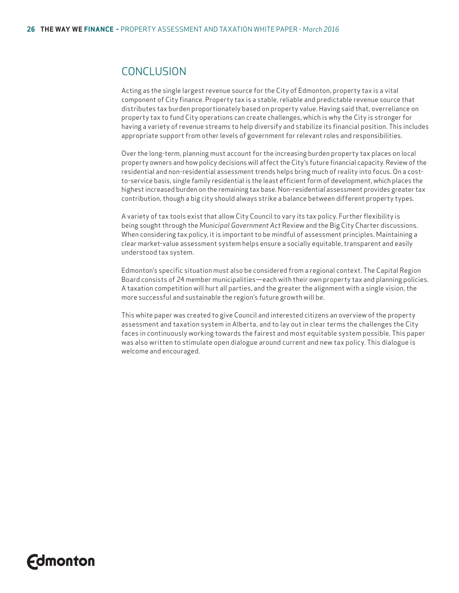### CONCLUSION

Acting as the single largest revenue source for the City of Edmonton, property tax is a vital component of City finance. Property tax is a stable, reliable and predictable revenue source that distributes tax burden proportionately based on property value. Having said that, overreliance on property tax to fund City operations can create challenges, which is why the City is stronger for having a variety of revenue streams to help diversify and stabilize its financial position. This includes appropriate support from other levels of government for relevant roles and responsibilities.

Over the long-term, planning must account for the increasing burden property tax places on local property owners and how policy decisions will affect the City's future financial capacity. Review of the residential and non-residential assessment trends helps bring much of reality into focus. On a costto-service basis, single family residential is the least efficient form of development, which places the highest increased burden on the remaining tax base. Non-residential assessment provides greater tax contribution, though a big city should always strike a balance between different property types.

A variety of tax tools exist that allow City Council to vary its tax policy. Further flexibility is being sought through the *Municipal Government Act* Review and the Big City Charter discussions. When considering tax policy, it is important to be mindful of assessment principles. Maintaining a clear market-value assessment system helps ensure a socially equitable, transparent and easily understood tax system.

Edmonton's specific situation must also be considered from a regional context. The Capital Region Board consists of 24 member municipalities—each with their own property tax and planning policies. A taxation competition will hurt all parties, and the greater the alignment with a single vision, the more successful and sustainable the region's future growth will be.

This white paper was created to give Council and interested citizens an overview of the property assessment and taxation system in Alberta, and to lay out in clear terms the challenges the City faces in continuously working towards the fairest and most equitable system possible. This paper was also written to stimulate open dialogue around current and new tax policy. This dialogue is welcome and encouraged.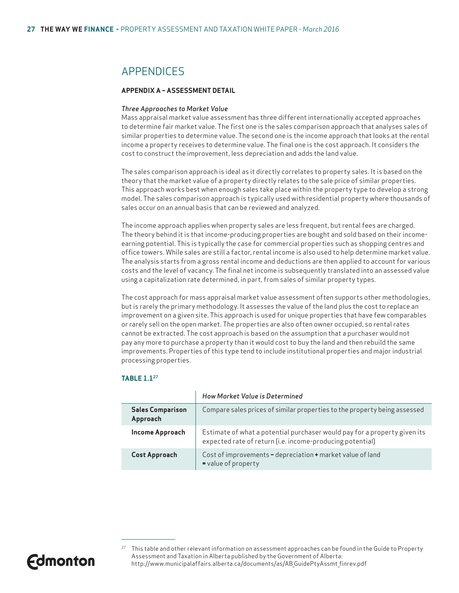### **APPENDICES**

#### **APPENDIX A – ASSESSMENT DETAIL**

#### *Three Approaches to Market Value*

Mass appraisal market value assessment has three different internationally accepted approaches to determine fair market value. The first one is the sales comparison approach that analyses sales of similar properties to determine value. The second one is the income approach that looks at the rental income a property receives to determine value. The final one is the cost approach. It considers the cost to construct the improvement, less depreciation and adds the land value.

The sales comparison approach is ideal as it directly correlates to property sales. It is based on the theory that the market value of a property directly relates to the sale price of similar properties. This approach works best when enough sales take place within the property type to develop a strong model. The sales comparison approach is typically used with residential property where thousands of sales occur on an annual basis that can be reviewed and analyzed.

The income approach applies when property sales are less frequent, but rental fees are charged. The theory behind it is that income-producing properties are bought and sold based on their incomeearning potential. This is typically the case for commercial properties such as shopping centres and office towers. While sales are still a factor, rental income is also used to help determine market value. The analysis starts from a gross rental income and deductions are then applied to account for various costs and the level of vacancy. The final net income is subsequently translated into an assessed value using a capitalization rate determined, in part, from sales of similar property types.

The cost approach for mass appraisal market value assessment often supports other methodologies, but is rarely the primary methodology. It assesses the value of the land plus the cost to replace an improvement on a given site. This approach is used for unique properties that have few comparables or rarely sell on the open market. The properties are also often owner occupied, so rental rates cannot be extracted. The cost approach is based on the assumption that a purchaser would not pay any more to purchase a property than it would cost to buy the land and then rebuild the same improvements. Properties of this type tend to include institutional properties and major industrial processing properties.

#### **TABLE 1.127**

|                                     | How Market Value is Determined                                                                                                         |
|-------------------------------------|----------------------------------------------------------------------------------------------------------------------------------------|
| <b>Sales Comparison</b><br>Approach | Compare sales prices of similar properties to the property being assessed                                                              |
| <b>Income Approach</b>              | Estimate of what a potential purchaser would pay for a property given its<br>expected rate of return (i.e. income-producing potential) |
| <b>Cost Approach</b>                | Cost of improvements - depreciation + market value of land<br>= value of property                                                      |



<sup>&</sup>lt;sup>27</sup> This table and other relevant information on assessment approaches can be found in the Guide to Property Assessment and Taxation in Alberta published by the Government of Alberta: http://www.municipalaffairs.alberta.ca/documents/as/AB\_GuidePtyAssmt\_finrev.pdf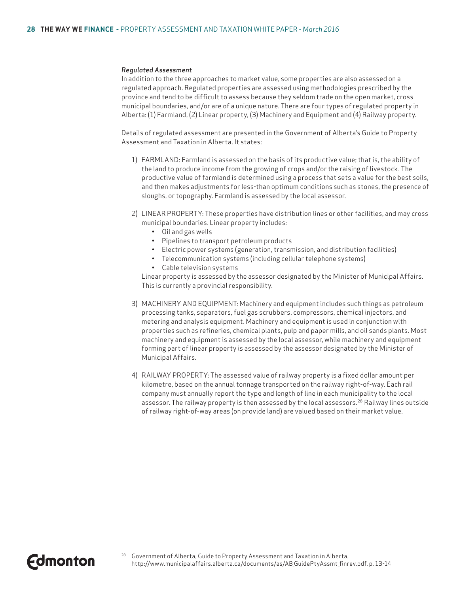#### *Regulated Assessment*

In addition to the three approaches to market value, some properties are also assessed on a regulated approach. Regulated properties are assessed using methodologies prescribed by the province and tend to be difficult to assess because they seldom trade on the open market, cross municipal boundaries, and/or are of a unique nature. There are four types of regulated property in Alberta: (1) Farmland, (2) Linear property, (3) Machinery and Equipment and (4) Railway property.

Details of regulated assessment are presented in the Government of Alberta's Guide to Property Assessment and Taxation in Alberta. It states:

- 1) FARMLAND: Farmland is assessed on the basis of its productive value; that is, the ability of the land to produce income from the growing of crops and/or the raising of livestock. The productive value of farmland is determined using a process that sets a value for the best soils, and then makes adjustments for less-than optimum conditions such as stones, the presence of sloughs, or topography. Farmland is assessed by the local assessor.
- 2) LINEAR PROPERTY: These properties have distribution lines or other facilities, and may cross municipal boundaries. Linear property includes:
	- Oil and gas wells
	- Pipelines to transport petroleum products
	- Electric power systems (generation, transmission, and distribution facilities)
	- Telecommunication systems (including cellular telephone systems)
	- Cable television systems

 Linear property is assessed by the assessor designated by the Minister of Municipal Affairs. This is currently a provincial responsibility.

- 3) MACHINERY AND EQUIPMENT: Machinery and equipment includes such things as petroleum processing tanks, separators, fuel gas scrubbers, compressors, chemical injectors, and metering and analysis equipment. Machinery and equipment is used in conjunction with properties such as refineries, chemical plants, pulp and paper mills, and oil sands plants. Most machinery and equipment is assessed by the local assessor, while machinery and equipment forming part of linear property is assessed by the assessor designated by the Minister of Municipal Affairs.
- 4) RAILWAY PROPERTY: The assessed value of railway property is a fixed dollar amount per kilometre, based on the annual tonnage transported on the railway right-of-way. Each rail company must annually report the type and length of line in each municipality to the local assessor. The railway property is then assessed by the local assessors.<sup>28</sup> Railway lines outside of railway right-of-way areas (on provide land) are valued based on their market value.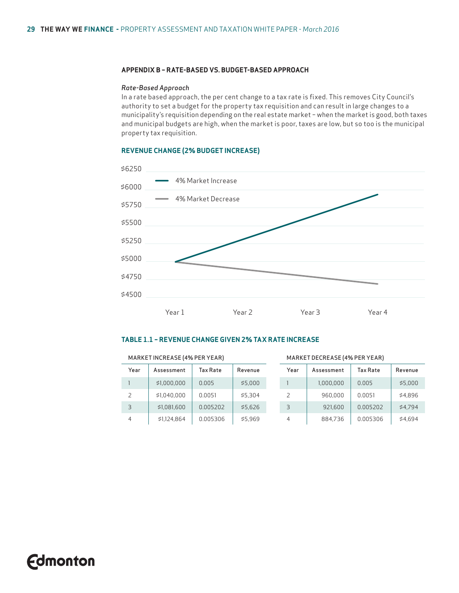#### **APPENDIX B – RATE-BASED VS. BUDGET-BASED APPROACH**

#### *Rate-Based Approach*

In a rate based approach, the per cent change to a tax rate is fixed. This removes City Council's authority to set a budget for the property tax requisition and can result in large changes to a municipality's requisition depending on the real estate market – when the market is good, both taxes and municipal budgets are high, when the market is poor, taxes are low, but so too is the municipal property tax requisition.

#### **REVENUE CHANGE (2% BUDGET INCREASE)**



#### **TABLE 1.1 – REVENUE CHANGE GIVEN 2% TAX RATE INCREASE**

| MARKET INCREASE (4% PER YEAR) |             |                 |         |  | MARKET DECREASE (4% PER YEAR) |            |                 |         |  |
|-------------------------------|-------------|-----------------|---------|--|-------------------------------|------------|-----------------|---------|--|
| Year                          | Assessment  | <b>Tax Rate</b> | Revenue |  | Year                          | Assessment | <b>Tax Rate</b> | Revenue |  |
|                               | \$1,000,000 | 0.005           | \$5.000 |  |                               | 1,000,000  | 0.005           | \$5,000 |  |
| 2                             | \$1.040.000 | 0.0051          | \$5.304 |  | 2                             | 960.000    | 0.0051          | \$4.896 |  |
| 3                             | \$1,081,600 | 0.005202        | \$5.626 |  | 3                             | 921.600    | 0.005202        | \$4.794 |  |
| 4                             | \$1,124,864 | 0.005306        | \$5.969 |  | 4                             | 884,736    | 0.005306        | \$4.694 |  |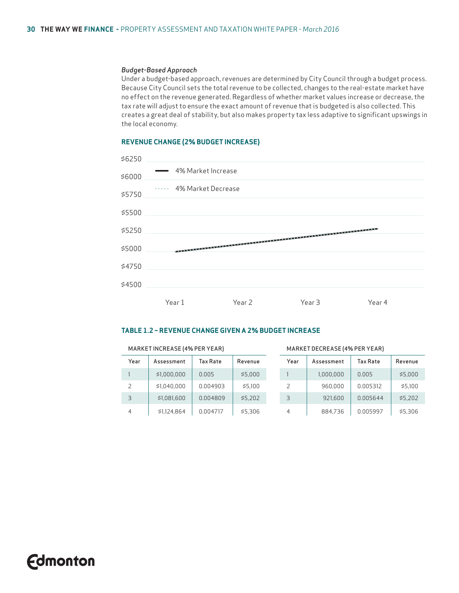#### *Budget-Based Approach*

Under a budget-based approach, revenues are determined by City Council through a budget process. Because City Council sets the total revenue to be collected, changes to the real-estate market have no effect on the revenue generated. Regardless of whether market values increase or decrease, the tax rate will adjust to ensure the exact amount of revenue that is budgeted is also collected. This creates a great deal of stability, but also makes property tax less adaptive to significant upswings in the local economy.

#### **REVENUE CHANGE (2% BUDGET INCREASE)**



#### **TABLE 1.2 – REVENUE CHANGE GIVEN A 2% BUDGET INCREASE**

MARKET INCREASE (4% PER YEAR) MARKET DECREASE (4% PER YEAR)

| Year | Assessment  | Tax Rate | Revenue | Year | Assessment | <b>Tax Rate</b> | Revenue |
|------|-------------|----------|---------|------|------------|-----------------|---------|
|      | \$1,000,000 | 0.005    | \$5,000 |      | 1,000,000  | 0.005           | \$5,000 |
|      | \$1,040,000 | 0.004903 | \$5.100 |      | 960,000    | 0.005312        | \$5.100 |
| 3    | \$1,081,600 | 0.004809 | \$5,202 | 3    | 921,600    | 0.005644        | \$5.202 |
| 4    | \$1,124,864 | 0.004717 | \$5,306 | 4    | 884,736    | 0.005997        | \$5,306 |

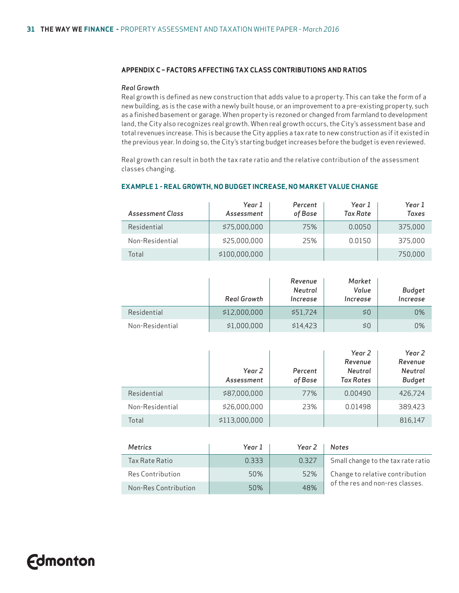#### **APPENDIX C – FACTORS AFFECTING TAX CLASS CONTRIBUTIONS AND RATIOS**

#### *Real Growth*

Real growth is defined as new construction that adds value to a property. This can take the form of a new building, as is the case with a newly built house, or an improvement to a pre-existing property, such as a finished basement or garage. When property is rezoned or changed from farmland to development land, the City also recognizes real growth. When real growth occurs, the City's assessment base and total revenues increase. This is because the City applies a tax rate to new construction as if it existed in the previous year. In doing so, the City's starting budget increases before the budget is even reviewed.

Real growth can result in both the tax rate ratio and the relative contribution of the assessment classes changing.

| Assessment Class | Year 1<br>Assessment | Percent<br>of Base | Year 1<br>Tax Rate | Year 1<br>Taxes |
|------------------|----------------------|--------------------|--------------------|-----------------|
| Residential      | \$75,000,000         | 75%                | 0.0050             | 375,000         |
| Non-Residential  | \$25,000,000         | 25%                | 0.0150             | 375,000         |
| Total            | \$100,000,000        |                    |                    | 750.000         |

#### **EXAMPLE 1 - REAL GROWTH, NO BUDGET INCREASE, NO MARKET VALUE CHANGE**

|                 | Real Growth  | Revenue<br>Neutral<br>Increase | Market<br>Value<br>Increase | Budget<br>Increase |
|-----------------|--------------|--------------------------------|-----------------------------|--------------------|
| Residential     | \$12,000,000 | \$51.724                       | \$0                         | 0%                 |
| Non-Residential | \$1,000,000  | \$14.423                       | \$0                         | 0%                 |

|                 | Year 2<br>Assessment | Percent<br>of Base | Year 2<br>Revenue<br>Neutral<br><b>Tax Rates</b> | Year 2<br>Revenue<br>Neutral<br><b>Budget</b> |
|-----------------|----------------------|--------------------|--------------------------------------------------|-----------------------------------------------|
| Residential     | \$87,000,000         | 77%                | 0.00490                                          | 426.724                                       |
| Non-Residential | \$26,000,000         | 23%                | 0.01498                                          | 389.423                                       |
| Total           | \$113,000,000        |                    |                                                  | 816,147                                       |

| <b>Metrics</b>       | Year 1 | Year 2 | <b>Notes</b>                       |
|----------------------|--------|--------|------------------------------------|
| Tax Rate Ratio       | 0.333  | 0.327  | Small change to the tax rate ratio |
| Res Contribution     | 50%    | 52%    | Change to relative contribution    |
| Non-Res Contribution | 50%    | 48%    | of the res and non-res classes.    |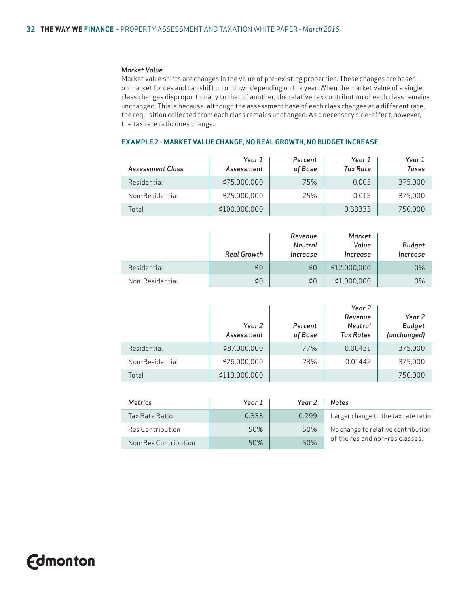#### *Market Value*

Market value shifts are changes in the value of pre-existing properties. These changes are based on market forces and can shift up or down depending on the year. When the market value of a single class changes disproportionally to that of another, the relative tax contribution of each class remains unchanged. This is because, although the assessment base of each class changes at a different rate, the requisition collected from each class remains unchanged. As a necessary side-effect, however, the tax rate ratio does change.

| Assessment Class | Year 1<br>Assessment | Percent<br>of Base | Year 1<br>Tax Rate | Year 1<br>Taxes |
|------------------|----------------------|--------------------|--------------------|-----------------|
| Residential      | \$75,000,000         | 75%                | 0.005              | 375,000         |
| Non-Residential  | \$25,000,000         | 25%                | 0.015              | 375,000         |
| Total            | \$100,000,000        |                    | 0.33333            | 750.000         |

#### **EXAMPLE 2 - MARKET VALUE CHANGE, NO REAL GROWTH, NO BUDGET INCREASE**

|                 | <b>Real Growth</b> | Revenue<br>Neutral<br>Increase | Market<br>Value<br>Increase | Budget<br>Increase |
|-----------------|--------------------|--------------------------------|-----------------------------|--------------------|
| Residential     | \$0                | \$0                            | \$12,000,000                | 0%                 |
| Non-Residential | \$0                | \$0                            | \$1,000,000                 | 0%                 |

|                 | Year 2<br>Assessment | Percent<br>of Base | Year 2<br>Revenue<br>Neutral<br><b>Tax Rates</b> | Year 2<br><b>Budget</b><br>(unchanged) |
|-----------------|----------------------|--------------------|--------------------------------------------------|----------------------------------------|
| Residential     | \$87,000,000         | 77%                | 0.00431                                          | 375,000                                |
| Non-Residential | \$26,000,000         | 23%                | 0.01442                                          | 375,000                                |
| Total           | \$113,000,000        |                    |                                                  | 750,000                                |

| <b>Metrics</b>          | Year 1 | Year 2 | <b>Notes</b>                        |
|-------------------------|--------|--------|-------------------------------------|
| Tax Rate Ratio          | 0.333  | 0.299  | Larger change to the tax rate ratio |
| <b>Res Contribution</b> | 50%    | 50%    | No change to relative contribution  |
| Non-Res Contribution    | 50%    | 50%    | of the res and non-res classes.     |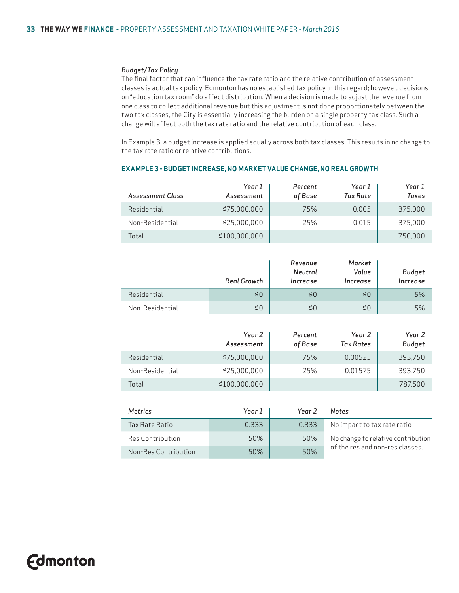#### *Budget/Tax Policy*

The final factor that can influence the tax rate ratio and the relative contribution of assessment classes is actual tax policy. Edmonton has no established tax policy in this regard; however, decisions on "education tax room" do affect distribution. When a decision is made to adjust the revenue from one class to collect additional revenue but this adjustment is not done proportionately between the two tax classes, the City is essentially increasing the burden on a single property tax class. Such a change will affect both the tax rate ratio and the relative contribution of each class.

In Example 3, a budget increase is applied equally across both tax classes. This results in no change to the tax rate ratio or relative contributions.

| Assessment Class | Year 1<br>Assessment | Percent<br>of Base | Year 1<br>Tax Rate | Year 1<br>Taxes |
|------------------|----------------------|--------------------|--------------------|-----------------|
| Residential      | \$75,000,000         | 75%                | 0.005              | 375,000         |
| Non-Residential  | \$25,000,000         | 25%                | 0.015              | 375,000         |
| Total            | \$100,000,000        |                    |                    | 750.000         |

#### **EXAMPLE 3 - BUDGET INCREASE, NO MARKET VALUE CHANGE, NO REAL GROWTH**

|                 | <b>Real Growth</b> | Revenue<br>Neutral<br>Increase | Market<br>Value<br>Increase | <b>Budget</b><br>Increase |
|-----------------|--------------------|--------------------------------|-----------------------------|---------------------------|
| Residential     | \$0                | \$0                            | 50                          | 5%                        |
| Non-Residential | \$0                | \$0                            | 50                          | 5%                        |

|                 | Year 2<br>Assessment | Percent<br>of Base | Year 2<br><b>Tax Rates</b> | Year 2<br><b>Budget</b> |
|-----------------|----------------------|--------------------|----------------------------|-------------------------|
| Residential     | \$75,000,000         | 75%                | 0.00525                    | 393,750                 |
| Non-Residential | \$25,000,000         | 25%                | 0.01575                    | 393.750                 |
| Total           | \$100,000,000        |                    |                            | 787.500                 |

| Metrics                 | Year 1 | Year 2 | <b>Notes</b>                       |
|-------------------------|--------|--------|------------------------------------|
| Tax Rate Ratio          | 0.333  | 0.333  | No impact to tax rate ratio        |
| <b>Res Contribution</b> | 50%    | 50%    | No change to relative contribution |
| Non-Res Contribution    | 50%    | 50%    | of the res and non-res classes.    |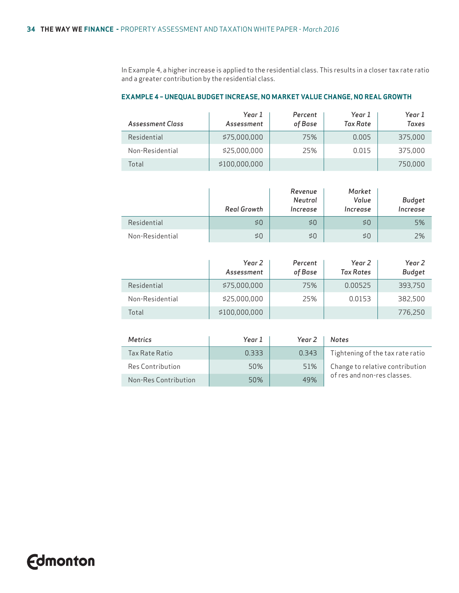In Example 4, a higher increase is applied to the residential class. This results in a closer tax rate ratio and a greater contribution by the residential class.

#### **EXAMPLE 4 – UNEQUAL BUDGET INCREASE, NO MARKET VALUE CHANGE, NO REAL GROWTH**

| Assessment Class | Year 1<br>Assessment | Percent<br>of Base | Year 1<br>Tax Rate | Year 1<br>Taxes |
|------------------|----------------------|--------------------|--------------------|-----------------|
| Residential      | \$75,000,000         | 75%                | 0.005              | 375,000         |
| Non-Residential  | \$25,000,000         | 25%                | 0.015              | 375,000         |
| Total            | \$100,000,000        |                    |                    | 750.000         |

|                 | Real Growth |     | Market<br>Value<br>Increase | Budget<br>Increase |
|-----------------|-------------|-----|-----------------------------|--------------------|
| Residential     | \$0         | \$0 | \$0                         | 5%                 |
| Non-Residential | \$0         | \$0 | \$0                         | 2%                 |

|                 | Year 2<br>Assessment | Percent<br>of Base | Year 2<br><b>Tax Rates</b> | Year 2<br><b>Budget</b> |
|-----------------|----------------------|--------------------|----------------------------|-------------------------|
| Residential     | \$75,000,000         | 75%                | 0.00525                    | 393,750                 |
| Non-Residential | \$25,000,000         | 25%                | 0.0153                     | 382.500                 |
| Total           | \$100,000,000        |                    |                            | 776,250                 |

| <b>Metrics</b>          | Year 1 | Year 2 | <b>Notes</b>                     |
|-------------------------|--------|--------|----------------------------------|
| Tax Rate Ratio          | 0.333  | 0.343  | Tightening of the tax rate ratio |
| <b>Res Contribution</b> | 50%    | 51%    | Change to relative contribution  |
| Non-Res Contribution    | 50%    | 49%    | of res and non-res classes.      |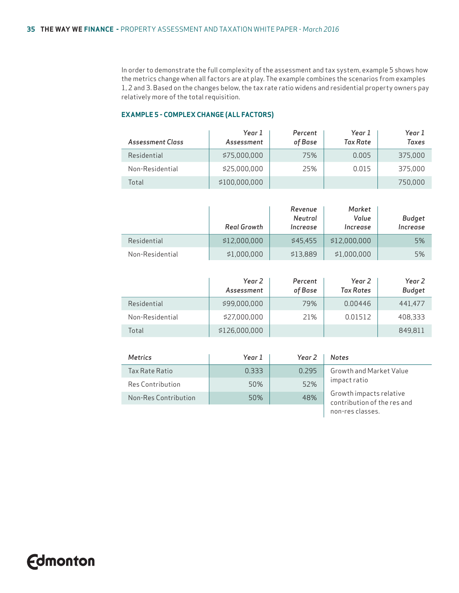In order to demonstrate the full complexity of the assessment and tax system, example 5 shows how the metrics change when all factors are at play. The example combines the scenarios from examples 1, 2 and 3. Based on the changes below, the tax rate ratio widens and residential property owners pay relatively more of the total requisition.

#### **EXAMPLE 5 - COMPLEX CHANGE (ALL FACTORS)**

| Assessment Class | Year 1<br>Assessment | Percent<br>of Base | Year 1<br><b>Tax Rate</b> | Year 1<br>Taxes |
|------------------|----------------------|--------------------|---------------------------|-----------------|
| Residential      | \$75,000,000         | 75%                | 0.005                     | 375,000         |
| Non-Residential  | \$25,000,000         | 25%                | 0.015                     | 375,000         |
| Total            | \$100,000,000        |                    |                           | 750.000         |

|                 | <b>Real Growth</b> | Revenue<br>Neutral<br>Increase | Market<br>Value<br>Increase | Budget<br>Increase |
|-----------------|--------------------|--------------------------------|-----------------------------|--------------------|
| Residential     | \$12,000,000       | \$45.455                       | \$12,000,000                | 5%                 |
| Non-Residential | \$1,000,000        | \$13,889                       | \$1.000.000                 | 5%                 |

|                 | Year 2<br>Assessment | Percent<br>of Base | Year 2<br><b>Tax Rates</b> | Year 2<br><b>Budget</b> |
|-----------------|----------------------|--------------------|----------------------------|-------------------------|
| Residential     | \$99,000,000         | 79%                | 0.00446                    | 441,477                 |
| Non-Residential | \$27,000,000         | 21%                | 0.01512                    | 408.333                 |
| Total           | \$126,000,000        |                    |                            | 849.811                 |

| <b>Metrics</b>       | Year 1 | Year 2 | <b>Notes</b>                                           |
|----------------------|--------|--------|--------------------------------------------------------|
| Tax Rate Ratio       | 0.333  | 0.295  | Growth and Market Value                                |
| Res Contribution     | 50%    | 52%    | impact ratio                                           |
| Non-Res Contribution | 50%    | 48%    | Growth impacts relative<br>contribution of the res and |
|                      |        |        | non-res classes.                                       |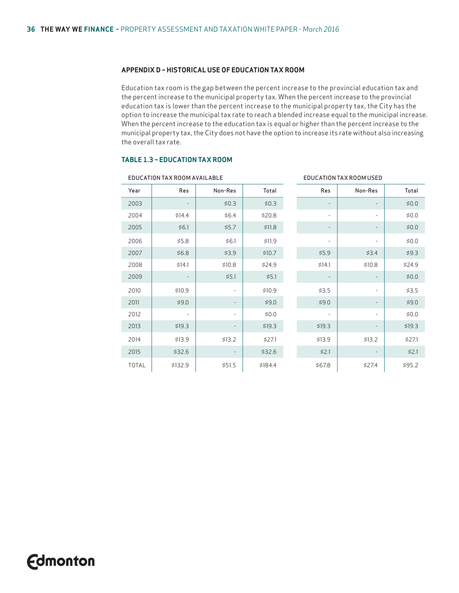#### **APPENDIX D – HISTORICAL USE OF EDUCATION TAX ROOM**

Education tax room is the gap between the percent increase to the provincial education tax and the percent increase to the municipal property tax. When the percent increase to the provincial education tax is lower than the percent increase to the municipal property tax, the City has the option to increase the municipal tax rate to reach a blended increase equal to the municipal increase. When the percent increase to the education tax is equal or higher than the percent increase to the municipal property tax, the City does not have the option to increase its rate without also increasing the overall tax rate.

#### **TABLE 1.3 – EDUCATION TAX ROOM**

| EDUCATION TAX ROOM AVAILABLE |                          |                          |         | EDUCATION TAX ROOM USED  |                          |         |
|------------------------------|--------------------------|--------------------------|---------|--------------------------|--------------------------|---------|
| Year                         | Res                      | Non-Res                  | Total   | Res                      | Non-Res                  | Total   |
| 2003                         |                          | \$0.3                    | \$0.3   | $\overline{\phantom{a}}$ |                          | \$0.0\$ |
| 2004                         | \$14.4                   | \$6.4                    | \$20.8  | $\overline{\phantom{0}}$ | ۰                        | \$0.0\$ |
| 2005                         | \$6.1                    | \$5.7                    | \$11.8  | $\overline{\phantom{a}}$ |                          | \$0.0   |
| 2006                         | \$5.8                    | \$6.1                    | \$11.9  | $\overline{\phantom{m}}$ | $\overline{\phantom{m}}$ | \$0.0   |
| 2007                         | \$6.8                    | \$3.9                    | \$10.7  | \$5.9                    | \$3.4                    | \$9.3   |
| 2008                         | \$14.1                   | \$10.8                   | \$24.9  | \$14.1                   | \$10.8                   | \$24.9  |
| 2009                         | $\overline{a}$           | \$5.1                    | \$5.1   | $\overline{\phantom{a}}$ |                          | \$0.0\$ |
| 2010                         | \$10.9                   | $\overline{\phantom{a}}$ | \$10.9  | \$3.5                    | ÷,                       | \$3.5   |
| 2011                         | \$9.0                    | $\overline{\phantom{a}}$ | \$9.0   | \$9.0                    |                          | \$9.0   |
| 2012                         | $\overline{\phantom{a}}$ | $\overline{\phantom{0}}$ | \$0.0   | $\overline{\phantom{0}}$ | ۰                        | \$0.0\$ |
| 2013                         | \$19.3                   | $\overline{\phantom{a}}$ | \$19.3  | \$19.3                   |                          | \$19.3  |
| 2014                         | \$13.9                   | \$13.2                   | \$27.1  | \$13.9                   | \$13.2                   | \$27.1  |
| 2015                         | \$32.6                   | $\overline{\phantom{a}}$ | \$32.6  | \$2.1                    |                          | \$2.1   |
| <b>TOTAL</b>                 | \$132.9                  | \$51.5                   | \$184.4 | \$67.8                   | \$27.4                   | \$95.2  |

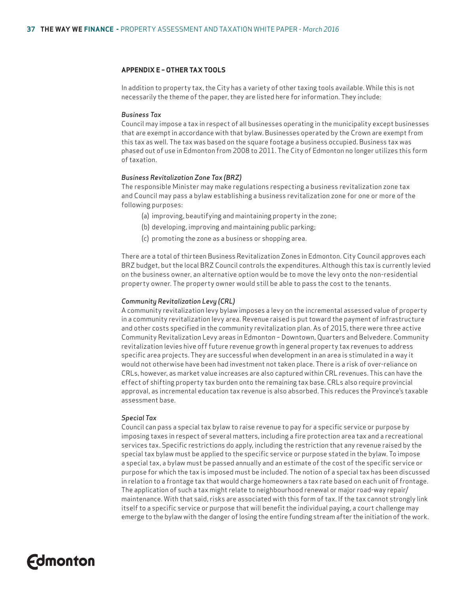#### **APPENDIX E – OTHER TAX TOOLS**

In addition to property tax, the City has a variety of other taxing tools available. While this is not necessarily the theme of the paper, they are listed here for information. They include:

#### *Business Tax*

Council may impose a tax in respect of all businesses operating in the municipality except businesses that are exempt in accordance with that bylaw. Businesses operated by the Crown are exempt from this tax as well. The tax was based on the square footage a business occupied. Business tax was phased out of use in Edmonton from 2008 to 2011. The City of Edmonton no longer utilizes this form of taxation.

#### *Business Revitalization Zone Tax (BRZ)*

The responsible Minister may make regulations respecting a business revitalization zone tax and Council may pass a bylaw establishing a business revitalization zone for one or more of the following purposes:

- (a) improving, beautifying and maintaining property in the zone;
- (b) developing, improving and maintaining public parking;
- (c) promoting the zone as a business or shopping area.

There are a total of thirteen Business Revitalization Zones in Edmonton. City Council approves each BRZ budget, but the local BRZ Council controls the expenditures. Although this tax is currently levied on the business owner, an alternative option would be to move the levy onto the non-residential property owner. The property owner would still be able to pass the cost to the tenants.

#### *Community Revitalization Levy (CRL)*

A community revitalization levy bylaw imposes a levy on the incremental assessed value of property in a community revitalization levy area. Revenue raised is put toward the payment of infrastructure and other costs specified in the community revitalization plan. As of 2015, there were three active Community Revitalization Levy areas in Edmonton – Downtown, Quarters and Belvedere. Community revitalization levies hive off future revenue growth in general property tax revenues to address specific area projects. They are successful when development in an area is stimulated in a way it would not otherwise have been had investment not taken place. There is a risk of over-reliance on CRLs, however, as market value increases are also captured within CRL revenues. This can have the effect of shifting property tax burden onto the remaining tax base. CRLs also require provincial approval, as incremental education tax revenue is also absorbed. This reduces the Province's taxable assessment base.

#### *Special Tax*

Council can pass a special tax bylaw to raise revenue to pay for a specific service or purpose by imposing taxes in respect of several matters, including a fire protection area tax and a recreational services tax. Specific restrictions do apply, including the restriction that any revenue raised by the special tax bylaw must be applied to the specific service or purpose stated in the bylaw. To impose a special tax, a bylaw must be passed annually and an estimate of the cost of the specific service or purpose for which the tax is imposed must be included. The notion of a special tax has been discussed in relation to a frontage tax that would charge homeowners a tax rate based on each unit of frontage. The application of such a tax might relate to neighbourhood renewal or major road-way repair/ maintenance. With that said, risks are associated with this form of tax. If the tax cannot strongly link itself to a specific service or purpose that will benefit the individual paying, a court challenge may emerge to the bylaw with the danger of losing the entire funding stream after the initiation of the work.